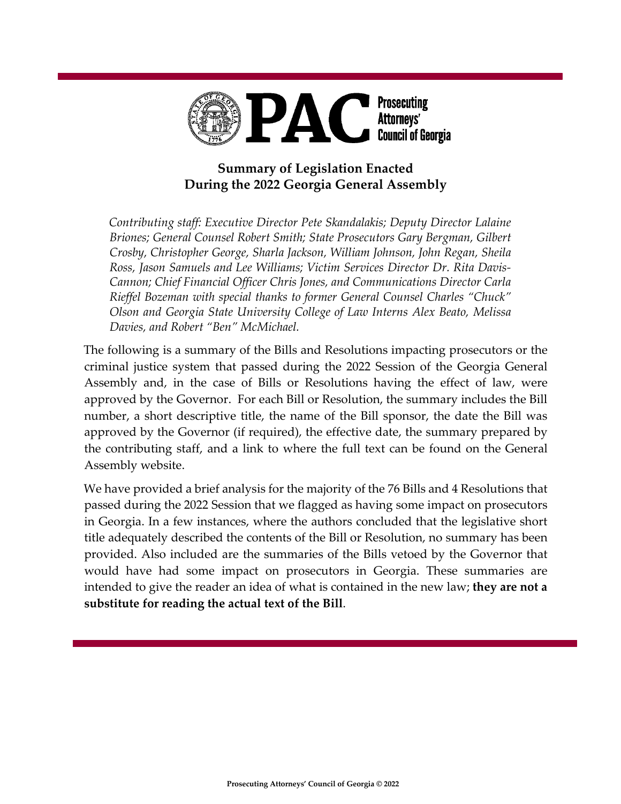

# **Summary of Legislation Enacted During the 2022 Georgia General Assembly**

*Contributing staff: Executive Director Pete Skandalakis; Deputy Director Lalaine Briones; General Counsel Robert Smith; State Prosecutors Gary Bergman, Gilbert Crosby, Christopher George, Sharla Jackson, William Johnson, John Regan, Sheila Ross, Jason Samuels and Lee Williams; Victim Services Director Dr. Rita Davis-Cannon; Chief Financial Officer Chris Jones, and Communications Director Carla Rieffel Bozeman with special thanks to former General Counsel Charles "Chuck" Olson and Georgia State University College of Law Interns Alex Beato, Melissa Davies, and Robert "Ben" McMichael.*

The following is a summary of the Bills and Resolutions impacting prosecutors or the criminal justice system that passed during the 2022 Session of the Georgia General Assembly and, in the case of Bills or Resolutions having the effect of law, were approved by the Governor. For each Bill or Resolution, the summary includes the Bill number, a short descriptive title, the name of the Bill sponsor, the date the Bill was approved by the Governor (if required), the effective date, the summary prepared by the contributing staff, and a link to where the full text can be found on the General Assembly website.

We have provided a brief analysis for the majority of the 76 Bills and 4 Resolutions that passed during the 2022 Session that we flagged as having some impact on prosecutors in Georgia. In a few instances, where the authors concluded that the legislative short title adequately described the contents of the Bill or Resolution, no summary has been provided. Also included are the summaries of the Bills vetoed by the Governor that would have had some impact on prosecutors in Georgia. These summaries are intended to give the reader an idea of what is contained in the new law; **they are not a substitute for reading the actual text of the Bill**.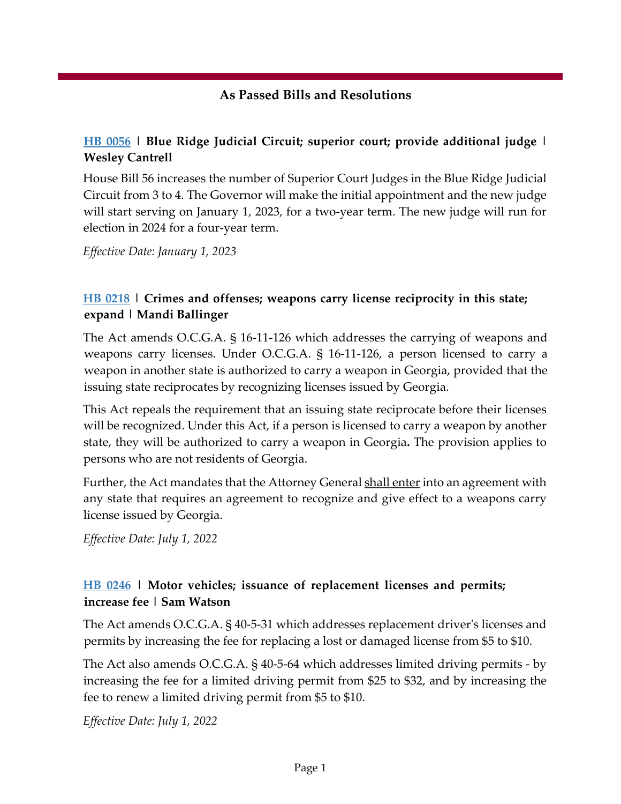### **As Passed Bills and Resolutions**

#### **[HB 0056](https://www.legis.ga.gov/legislation/58848) | Blue Ridge Judicial Circuit; superior court; provide additional judge | Wesley Cantrell**

House Bill 56 increases the number of Superior Court Judges in the Blue Ridge Judicial Circuit from 3 to 4. The Governor will make the initial appointment and the new judge will start serving on January 1, 2023, for a two-year term. The new judge will run for election in 2024 for a four-year term.

*Effective Date: January 1, 2023*

### **[HB 0218](https://www.legis.ga.gov/legislation/59180) | Crimes and offenses; weapons carry license reciprocity in this state; expand | Mandi Ballinger**

The Act amends O.C.G.A. § 16-11-126 which addresses the carrying of weapons and weapons carry licenses. Under O.C.G.A. § 16-11-126, a person licensed to carry a weapon in another state is authorized to carry a weapon in Georgia, provided that the issuing state reciprocates by recognizing licenses issued by Georgia.

This Act repeals the requirement that an issuing state reciprocate before their licenses will be recognized. Under this Act, if a person is licensed to carry a weapon by another state, they will be authorized to carry a weapon in Georgia**.** The provision applies to persons who are not residents of Georgia.

Further, the Act mandates that the Attorney General shall enter into an agreement with any state that requires an agreement to recognize and give effect to a weapons carry license issued by Georgia.

*Effective Date: July 1, 2022*

### **[HB 0246](https://www.legis.ga.gov/legislation/59232) | Motor vehicles; issuance of replacement licenses and permits; increase fee | Sam Watson**

The Act amends O.C.G.A. § 40-5-31 which addresses replacement driver's licenses and permits by increasing the fee for replacing a lost or damaged license from \$5 to \$10.

The Act also amends O.C.G.A. § 40-5-64 which addresses limited driving permits - by increasing the fee for a limited driving permit from \$25 to \$32, and by increasing the fee to renew a limited driving permit from \$5 to \$10.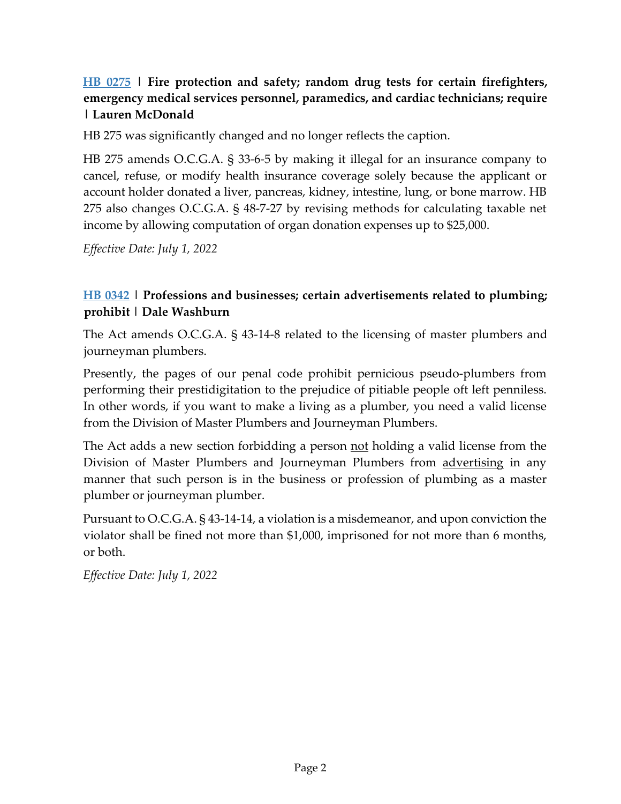# **[HB 0275](https://www.legis.ga.gov/legislation/59284) | Fire protection and safety; random drug tests for certain firefighters, emergency medical services personnel, paramedics, and cardiac technicians; require | Lauren McDonald**

HB 275 was significantly changed and no longer reflects the caption.

HB 275 amends O.C.G.A. § 33-6-5 by making it illegal for an insurance company to cancel, refuse, or modify health insurance coverage solely because the applicant or account holder donated a liver, pancreas, kidney, intestine, lung, or bone marrow. HB 275 also changes O.C.G.A. § 48-7-27 by revising methods for calculating taxable net income by allowing computation of organ donation expenses up to \$25,000.

*Effective Date: July 1, 2022*

# **[HB 0342](https://www.legis.ga.gov/legislation/59409) | Professions and businesses; certain advertisements related to plumbing; prohibit | Dale Washburn**

The Act amends O.C.G.A. § 43-14-8 related to the licensing of master plumbers and journeyman plumbers.

Presently, the pages of our penal code prohibit pernicious pseudo-plumbers from performing their prestidigitation to the prejudice of pitiable people oft left penniless. In other words, if you want to make a living as a plumber, you need a valid license from the Division of Master Plumbers and Journeyman Plumbers.

The Act adds a new section forbidding a person not holding a valid license from the Division of Master Plumbers and Journeyman Plumbers from advertising in any manner that such person is in the business or profession of plumbing as a master plumber or journeyman plumber.

Pursuant to O.C.G.A. § 43-14-14, a violation is a misdemeanor, and upon conviction the violator shall be fined not more than \$1,000, imprisoned for not more than 6 months, or both.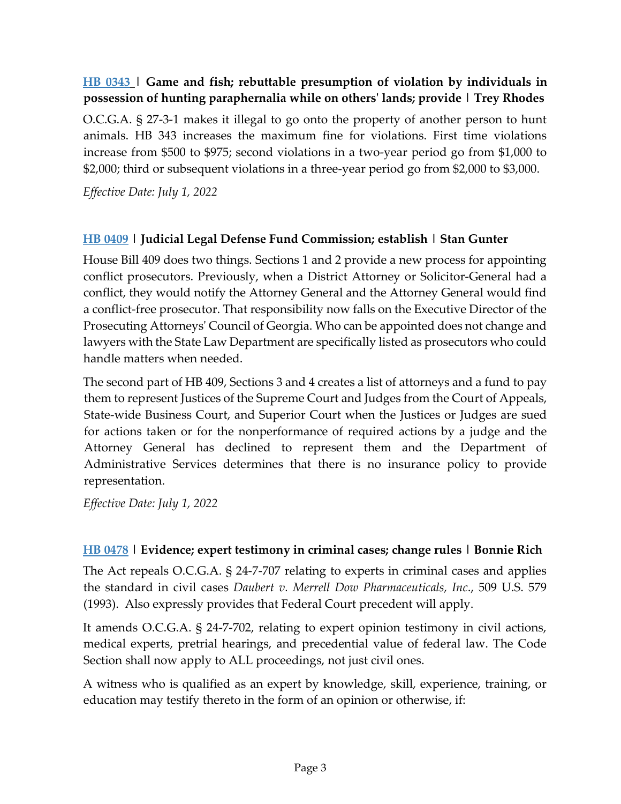### **[HB 0343](https://www.legis.ga.gov/legislation/59410) | Game and fish; rebuttable presumption of violation by individuals in possession of hunting paraphernalia while on others' lands; provide | Trey Rhodes**

O.C.G.A. § 27-3-1 makes it illegal to go onto the property of another person to hunt animals. HB 343 increases the maximum fine for violations. First time violations increase from \$500 to \$975; second violations in a two-year period go from \$1,000 to \$2,000; third or subsequent violations in a three-year period go from \$2,000 to \$3,000.

*Effective Date: July 1, 2022*

#### **[HB 0409](https://www.legis.ga.gov/legislation/59571) | Judicial Legal Defense Fund Commission; establish | Stan Gunter**

House Bill 409 does two things. Sections 1 and 2 provide a new process for appointing conflict prosecutors. Previously, when a District Attorney or Solicitor-General had a conflict, they would notify the Attorney General and the Attorney General would find a conflict-free prosecutor. That responsibility now falls on the Executive Director of the Prosecuting Attorneys' Council of Georgia. Who can be appointed does not change and lawyers with the State Law Department are specifically listed as prosecutors who could handle matters when needed.

The second part of HB 409, Sections 3 and 4 creates a list of attorneys and a fund to pay them to represent Justices of the Supreme Court and Judges from the Court of Appeals, State-wide Business Court, and Superior Court when the Justices or Judges are sued for actions taken or for the nonperformance of required actions by a judge and the Attorney General has declined to represent them and the Department of Administrative Services determines that there is no insurance policy to provide representation.

*Effective Date: July 1, 2022*

#### **[HB 0478](https://www.legis.ga.gov/legislation/59725) | Evidence; expert testimony in criminal cases; change rules | Bonnie Rich**

The Act repeals O.C.G.A. § 24-7-707 relating to experts in criminal cases and applies the standard in civil cases *Daubert v. Merrell Dow Pharmaceuticals, Inc*., 509 U.S. 579 (1993). Also expressly provides that Federal Court precedent will apply.

It amends O.C.G.A. § 24-7-702, relating to expert opinion testimony in civil actions, medical experts, pretrial hearings, and precedential value of federal law. The Code Section shall now apply to ALL proceedings, not just civil ones.

A witness who is qualified as an expert by knowledge, skill, experience, training, or education may testify thereto in the form of an opinion or otherwise, if: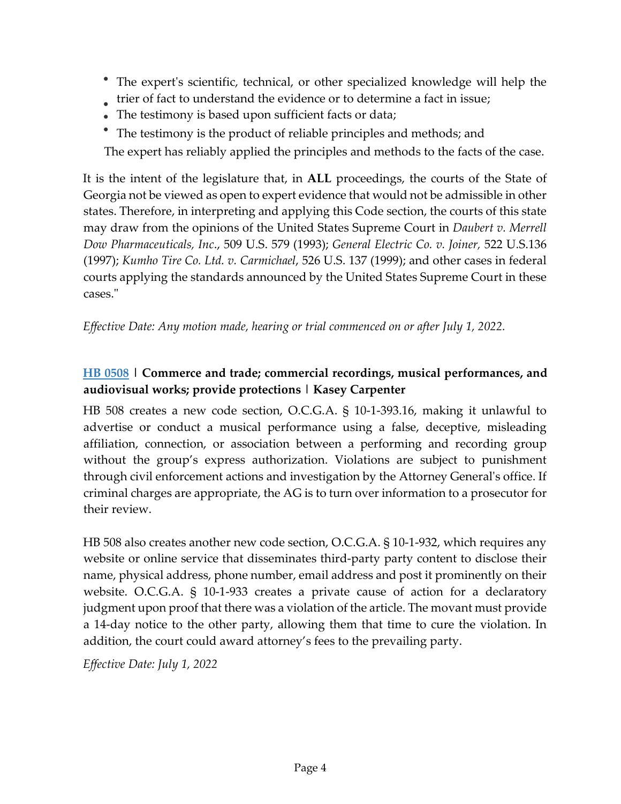- The expert's scientific, technical, or other specialized knowledge will help the
- trier of fact to understand the evidence or to determine a fact in issue;
- The testimony is based upon sufficient facts or data;
- The testimony is the product of reliable principles and methods; and

The expert has reliably applied the principles and methods to the facts of the case.

It is the intent of the legislature that, in **ALL** proceedings, the courts of the State of Georgia not be viewed as open to expert evidence that would not be admissible in other states. Therefore, in interpreting and applying this Code section, the courts of this state may draw from the opinions of the United States Supreme Court in *Daubert v. Merrell Dow Pharmaceuticals, Inc*., 509 U.S. 579 (1993); *General Electric Co. v. Joiner,* 522 U.S.136 (1997); *Kumho Tire Co. Ltd. v. Carmichael*, 526 U.S. 137 (1999); and other cases in federal courts applying the standards announced by the United States Supreme Court in these cases."

*Effective Date: Any motion made, hearing or trial commenced on or after July 1, 2022.*

# **[HB 0508](https://www.legis.ga.gov/legislation/59802) | Commerce and trade; commercial recordings, musical performances, and audiovisual works; provide protections | Kasey Carpenter**

HB 508 creates a new code section, O.C.G.A. § 10-1-393.16, making it unlawful to advertise or conduct a musical performance using a false, deceptive, misleading affiliation, connection, or association between a performing and recording group without the group's express authorization. Violations are subject to punishment through civil enforcement actions and investigation by the Attorney General's office. If criminal charges are appropriate, the AG is to turn over information to a prosecutor for their review.

HB 508 also creates another new code section, O.C.G.A. § 10-1-932, which requires any website or online service that disseminates third-party party content to disclose their name, physical address, phone number, email address and post it prominently on their website. O.C.G.A. § 10-1-933 creates a private cause of action for a declaratory judgment upon proof that there was a violation of the article. The movant must provide a 14-day notice to the other party, allowing them that time to cure the violation. In addition, the court could award attorney's fees to the prevailing party.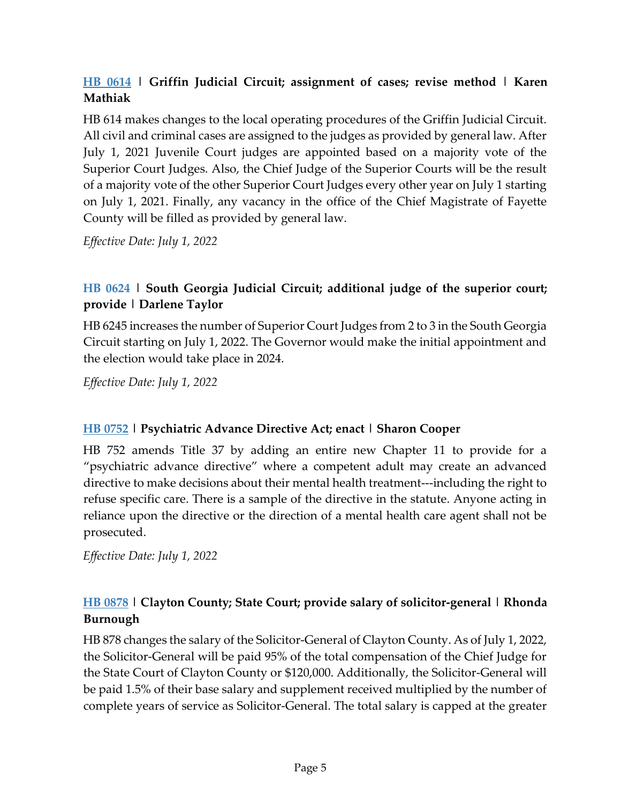# **[HB 0614](https://www.legis.ga.gov/legislation/59989) | Griffin Judicial Circuit; assignment of cases; revise method | Karen Mathiak**

HB 614 makes changes to the local operating procedures of the Griffin Judicial Circuit. All civil and criminal cases are assigned to the judges as provided by general law. After July 1, 2021 Juvenile Court judges are appointed based on a majority vote of the Superior Court Judges. Also, the Chief Judge of the Superior Courts will be the result of a majority vote of the other Superior Court Judges every other year on July 1 starting on July 1, 2021. Finally, any vacancy in the office of the Chief Magistrate of Fayette County will be filled as provided by general law.

*Effective Date: July 1, 2022*

#### **[HB 0624](https://www.legis.ga.gov/legislation/60023) | South Georgia Judicial Circuit; additional judge of the superior court; provide | Darlene Taylor**

HB 6245 increases the number of Superior Court Judges from 2 to 3 in the South Georgia Circuit starting on July 1, 2022. The Governor would make the initial appointment and the election would take place in 2024.

*Effective Date: July 1, 2022*

#### **[HB 0752](https://www.legis.ga.gov/legislation/60440) | Psychiatric Advance Directive Act; enact | Sharon Cooper**

HB 752 amends Title 37 by adding an entire new Chapter 11 to provide for a "psychiatric advance directive" where a competent adult may create an advanced directive to make decisions about their mental health treatment---including the right to refuse specific care. There is a sample of the directive in the statute. Anyone acting in reliance upon the directive or the direction of a mental health care agent shall not be prosecuted.

*Effective Date: July 1, 2022*

#### **[HB 0878](https://www.legis.ga.gov/legislation/61089) | Clayton County; State Court; provide salary of solicitor-general | Rhonda Burnough**

HB 878 changes the salary of the Solicitor-General of Clayton County. As of July 1, 2022, the Solicitor-General will be paid 95% of the total compensation of the Chief Judge for the State Court of Clayton County or \$120,000. Additionally, the Solicitor-General will be paid 1.5% of their base salary and supplement received multiplied by the number of complete years of service as Solicitor-General. The total salary is capped at the greater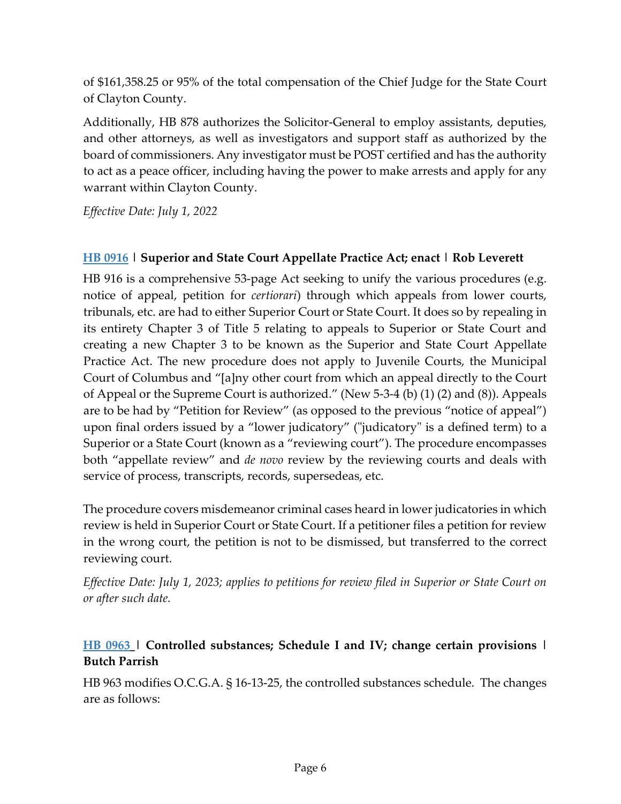of \$161,358.25 or 95% of the total compensation of the Chief Judge for the State Court of Clayton County.

Additionally, HB 878 authorizes the Solicitor-General to employ assistants, deputies, and other attorneys, as well as investigators and support staff as authorized by the board of commissioners. Any investigator must be POST certified and has the authority to act as a peace officer, including having the power to make arrests and apply for any warrant within Clayton County.

*Effective Date: July 1, 2022*

#### **[HB 0916](https://www.legis.ga.gov/legislation/61141) | Superior and State Court Appellate Practice Act; enact | Rob Leverett**

HB 916 is a comprehensive 53-page Act seeking to unify the various procedures (e.g. notice of appeal, petition for *certiorari*) through which appeals from lower courts, tribunals, etc. are had to either Superior Court or State Court. It does so by repealing in its entirety Chapter 3 of Title 5 relating to appeals to Superior or State Court and creating a new Chapter 3 to be known as the Superior and State Court Appellate Practice Act. The new procedure does not apply to Juvenile Courts, the Municipal Court of Columbus and "[a]ny other court from which an appeal directly to the Court of Appeal or the Supreme Court is authorized." (New 5-3-4 (b) (1) (2) and (8)). Appeals are to be had by "Petition for Review" (as opposed to the previous "notice of appeal") upon final orders issued by a "lower judicatory" ("judicatory" is a defined term) to a Superior or a State Court (known as a "reviewing court"). The procedure encompasses both "appellate review" and *de novo* review by the reviewing courts and deals with service of process, transcripts, records, supersedeas, etc.

The procedure covers misdemeanor criminal cases heard in lower judicatories in which review is held in Superior Court or State Court. If a petitioner files a petition for review in the wrong court, the petition is not to be dismissed, but transferred to the correct reviewing court.

*Effective Date: July 1, 2023; applies to petitions for review filed in Superior or State Court on or after such date.*

### **[HB 0963](https://www.legis.ga.gov/legislation/61239) | Controlled substances; Schedule I and IV; change certain provisions | Butch Parrish**

HB 963 modifies O.C.G.A. § 16-13-25, the controlled substances schedule. The changes are as follows: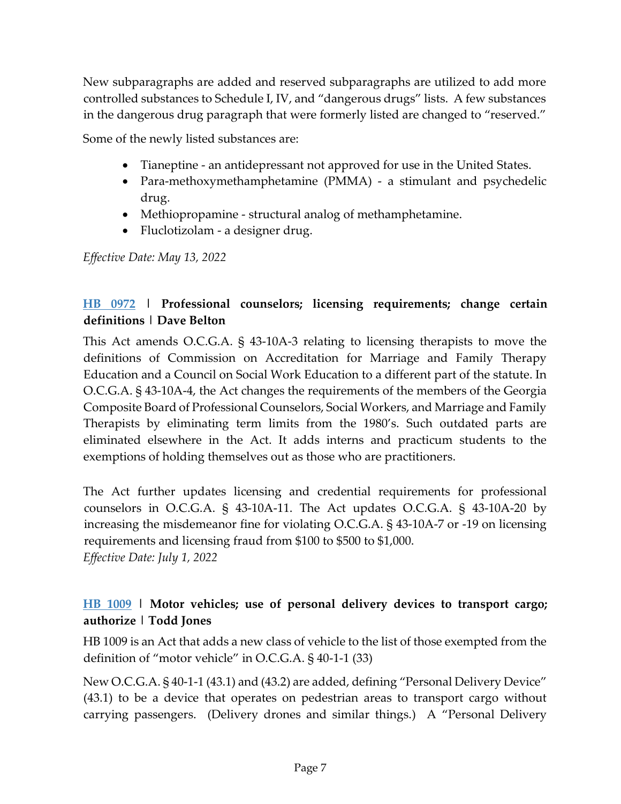New subparagraphs are added and reserved subparagraphs are utilized to add more controlled substances to Schedule I, IV, and "dangerous drugs" lists. A few substances in the dangerous drug paragraph that were formerly listed are changed to "reserved."

Some of the newly listed substances are:

- Tianeptine an antidepressant not approved for use in the United States.
- Para-methoxymethamphetamine (PMMA) a stimulant and psychedelic drug.
- Methiopropamine structural analog of methamphetamine.
- Fluclotizolam a designer drug.

*Effective Date: May 13, 2022*

# **[HB 0972](https://www.legis.ga.gov/legislation/61248) | Professional counselors; licensing requirements; change certain definitions | Dave Belton**

This Act amends O.C.G.A. § 43-10A-3 relating to licensing therapists to move the definitions of Commission on Accreditation for Marriage and Family Therapy Education and a Council on Social Work Education to a different part of the statute. In O.C.G.A. § 43-10A-4, the Act changes the requirements of the members of the Georgia Composite Board of Professional Counselors, Social Workers, and Marriage and Family Therapists by eliminating term limits from the 1980's. Such outdated parts are eliminated elsewhere in the Act. It adds interns and practicum students to the exemptions of holding themselves out as those who are practitioners.

The Act further updates licensing and credential requirements for professional counselors in O.C.G.A. § 43-10A-11. The Act updates O.C.G.A. § 43-10A-20 by increasing the misdemeanor fine for violating O.C.G.A. § 43-10A-7 or -19 on licensing requirements and licensing fraud from \$100 to \$500 to \$1,000. *Effective Date: July 1, 2022*

### **[HB 1009](https://www.legis.ga.gov/legislation/61342) | Motor vehicles; use of personal delivery devices to transport cargo; authorize | Todd Jones**

HB 1009 is an Act that adds a new class of vehicle to the list of those exempted from the definition of "motor vehicle" in O.C.G.A. § 40-1-1 (33)

New O.C.G.A. § 40-1-1 (43.1) and (43.2) are added, defining "Personal Delivery Device" (43.1) to be a device that operates on pedestrian areas to transport cargo without carrying passengers. (Delivery drones and similar things.) A "Personal Delivery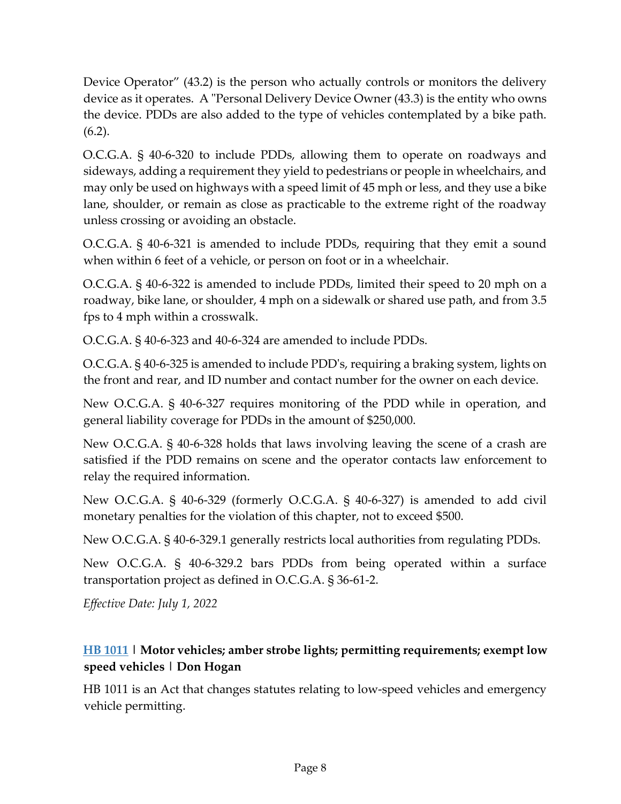Device Operator" (43.2) is the person who actually controls or monitors the delivery device as it operates. A "Personal Delivery Device Owner (43.3) is the entity who owns the device. PDDs are also added to the type of vehicles contemplated by a bike path.  $(6.2)$ .

O.C.G.A. § 40-6-320 to include PDDs, allowing them to operate on roadways and sideways, adding a requirement they yield to pedestrians or people in wheelchairs, and may only be used on highways with a speed limit of 45 mph or less, and they use a bike lane, shoulder, or remain as close as practicable to the extreme right of the roadway unless crossing or avoiding an obstacle.

O.C.G.A. § 40-6-321 is amended to include PDDs, requiring that they emit a sound when within 6 feet of a vehicle, or person on foot or in a wheelchair.

O.C.G.A. § 40-6-322 is amended to include PDDs, limited their speed to 20 mph on a roadway, bike lane, or shoulder, 4 mph on a sidewalk or shared use path, and from 3.5 fps to 4 mph within a crosswalk.

O.C.G.A. § 40-6-323 and 40-6-324 are amended to include PDDs.

O.C.G.A. § 40-6-325 is amended to include PDD's, requiring a braking system, lights on the front and rear, and ID number and contact number for the owner on each device.

New O.C.G.A. § 40-6-327 requires monitoring of the PDD while in operation, and general liability coverage for PDDs in the amount of \$250,000.

New O.C.G.A. § 40-6-328 holds that laws involving leaving the scene of a crash are satisfied if the PDD remains on scene and the operator contacts law enforcement to relay the required information.

New O.C.G.A. § 40-6-329 (formerly O.C.G.A. § 40-6-327) is amended to add civil monetary penalties for the violation of this chapter, not to exceed \$500.

New O.C.G.A. § 40-6-329.1 generally restricts local authorities from regulating PDDs.

New O.C.G.A. § 40-6-329.2 bars PDDs from being operated within a surface transportation project as defined in O.C.G.A. § 36-61-2.

*Effective Date: July 1, 2022*

# **[HB 1011](https://www.legis.ga.gov/legislation/61351) | Motor vehicles; amber strobe lights; permitting requirements; exempt low speed vehicles | Don Hogan**

HB 1011 is an Act that changes statutes relating to low-speed vehicles and emergency vehicle permitting.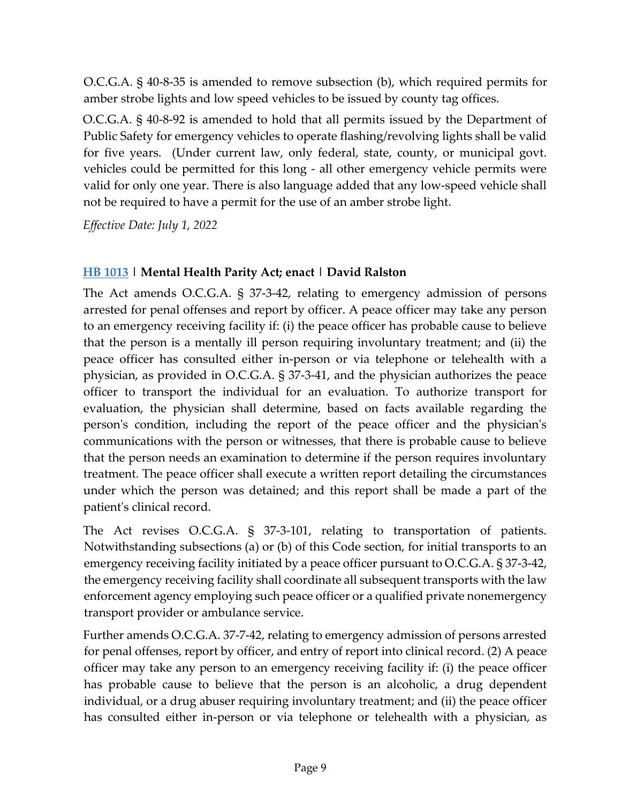O.C.G.A. § 40-8-35 is amended to remove subsection (b), which required permits for amber strobe lights and low speed vehicles to be issued by county tag offices.

O.C.G.A. § 40-8-92 is amended to hold that all permits issued by the Department of Public Safety for emergency vehicles to operate flashing/revolving lights shall be valid for five years. (Under current law, only federal, state, county, or municipal govt. vehicles could be permitted for this long - all other emergency vehicle permits were valid for only one year. There is also language added that any low-speed vehicle shall not be required to have a permit for the use of an amber strobe light.

*Effective Date: July 1, 2022*

#### **[HB 1013](https://www.legis.ga.gov/legislation/61365) | Mental Health Parity Act; enact | David Ralston**

The Act amends O.C.G.A. § 37-3-42, relating to emergency admission of persons arrested for penal offenses and report by officer. A peace officer may take any person to an emergency receiving facility if: (i) the peace officer has probable cause to believe that the person is a mentally ill person requiring involuntary treatment; and (ii) the peace officer has consulted either in-person or via telephone or telehealth with a physician, as provided in O.C.G.A. § 37-3-41, and the physician authorizes the peace officer to transport the individual for an evaluation. To authorize transport for evaluation, the physician shall determine, based on facts available regarding the person's condition, including the report of the peace officer and the physician's communications with the person or witnesses, that there is probable cause to believe that the person needs an examination to determine if the person requires involuntary treatment. The peace officer shall execute a written report detailing the circumstances under which the person was detained; and this report shall be made a part of the patient's clinical record.

The Act revises O.C.G.A. § 37-3-101, relating to transportation of patients. Notwithstanding subsections (a) or (b) of this Code section, for initial transports to an emergency receiving facility initiated by a peace officer pursuant to O.C.G.A. § 37-3-42, the emergency receiving facility shall coordinate all subsequent transports with the law enforcement agency employing such peace officer or a qualified private nonemergency transport provider or ambulance service.

Further amends O.C.G.A. 37-7-42, relating to emergency admission of persons arrested for penal offenses, report by officer, and entry of report into clinical record. (2) A peace officer may take any person to an emergency receiving facility if: (i) the peace officer has probable cause to believe that the person is an alcoholic, a drug dependent individual, or a drug abuser requiring involuntary treatment; and (ii) the peace officer has consulted either in-person or via telephone or telehealth with a physician, as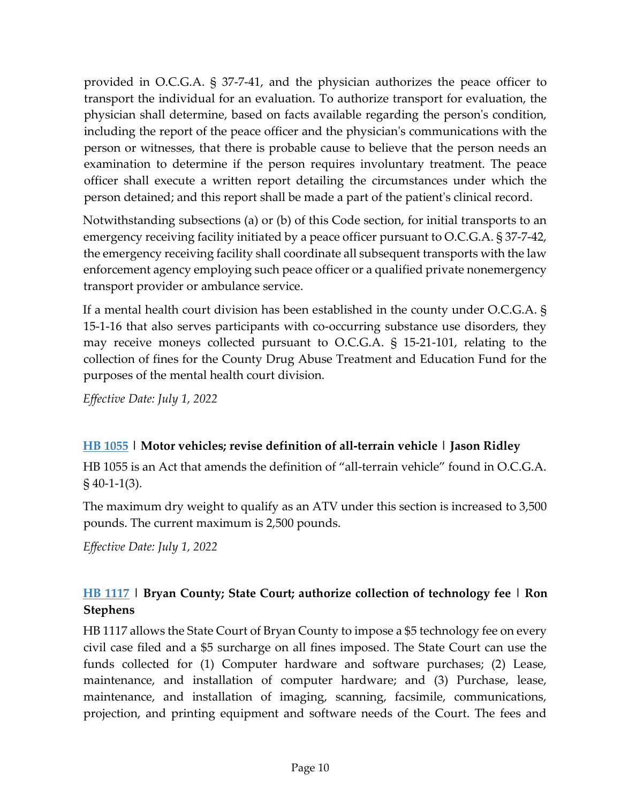provided in O.C.G.A. § 37-7-41, and the physician authorizes the peace officer to transport the individual for an evaluation. To authorize transport for evaluation, the physician shall determine, based on facts available regarding the person's condition, including the report of the peace officer and the physician's communications with the person or witnesses, that there is probable cause to believe that the person needs an examination to determine if the person requires involuntary treatment. The peace officer shall execute a written report detailing the circumstances under which the person detained; and this report shall be made a part of the patient's clinical record.

Notwithstanding subsections (a) or (b) of this Code section, for initial transports to an emergency receiving facility initiated by a peace officer pursuant to O.C.G.A. § 37-7-42, the emergency receiving facility shall coordinate all subsequent transports with the law enforcement agency employing such peace officer or a qualified private nonemergency transport provider or ambulance service.

If a mental health court division has been established in the county under O.C.G.A. § 15-1-16 that also serves participants with co-occurring substance use disorders, they may receive moneys collected pursuant to O.C.G.A. § 15-21-101, relating to the collection of fines for the County Drug Abuse Treatment and Education Fund for the purposes of the mental health court division.

*Effective Date: July 1, 2022*

#### **[HB 1055](https://www.legis.ga.gov/legislation/61408) | Motor vehicles; revise definition of all-terrain vehicle | Jason Ridley**

HB 1055 is an Act that amends the definition of "all-terrain vehicle" found in O.C.G.A.  $§$  40-1-1(3).

The maximum dry weight to qualify as an ATV under this section is increased to 3,500 pounds. The current maximum is 2,500 pounds.

*Effective Date: July 1, 2022*

### **[HB 1117](https://www.legis.ga.gov/legislation/61537) | Bryan County; State Court; authorize collection of technology fee | Ron Stephens**

HB 1117 allows the State Court of Bryan County to impose a \$5 technology fee on every civil case filed and a \$5 surcharge on all fines imposed. The State Court can use the funds collected for (1) Computer hardware and software purchases; (2) Lease, maintenance, and installation of computer hardware; and (3) Purchase, lease, maintenance, and installation of imaging, scanning, facsimile, communications, projection, and printing equipment and software needs of the Court. The fees and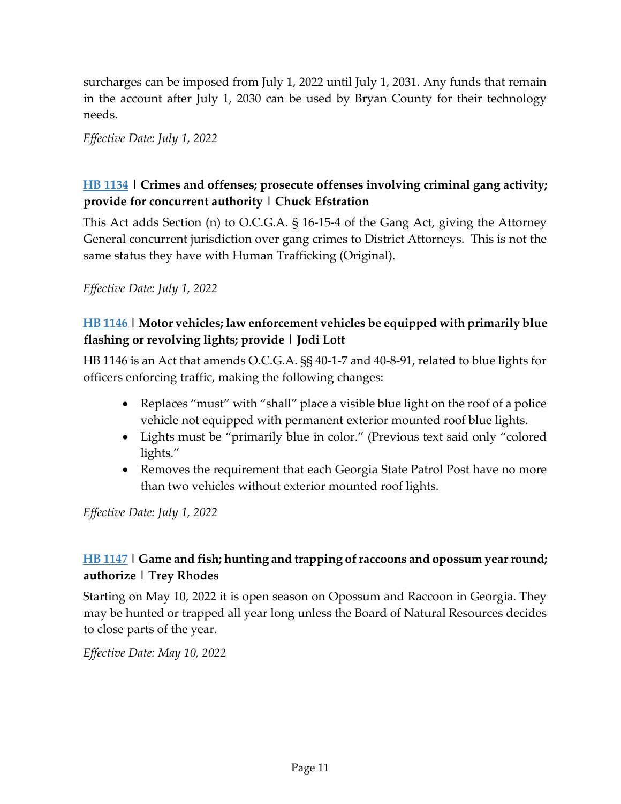surcharges can be imposed from July 1, 2022 until July 1, 2031. Any funds that remain in the account after July 1, 2030 can be used by Bryan County for their technology needs.

*Effective Date: July 1, 2022*

### **[HB 1134](https://www.legis.ga.gov/legislation/61559) | Crimes and offenses; prosecute offenses involving criminal gang activity; provide for concurrent authority | Chuck Efstration**

This Act adds Section (n) to O.C.G.A. § 16-15-4 of the Gang Act, giving the Attorney General concurrent jurisdiction over gang crimes to District Attorneys. This is not the same status they have with Human Trafficking (Original).

*Effective Date: July 1, 2022*

#### **[HB 1146](https://www.legis.ga.gov/legislation/61577) | Motor vehicles; law enforcement vehicles be equipped with primarily blue flashing or revolving lights; provide | Jodi Lott**

HB 1146 is an Act that amends O.C.G.A. §§ 40-1-7 and 40-8-91, related to blue lights for officers enforcing traffic, making the following changes:

- Replaces "must" with "shall" place a visible blue light on the roof of a police vehicle not equipped with permanent exterior mounted roof blue lights.
- Lights must be "primarily blue in color." (Previous text said only "colored lights."
- Removes the requirement that each Georgia State Patrol Post have no more than two vehicles without exterior mounted roof lights.

*Effective Date: July 1, 2022*

### **[HB 1147](https://www.legis.ga.gov/legislation/61578) | Game and fish; hunting and trapping of raccoons and opossum year round; authorize | Trey Rhodes**

Starting on May 10, 2022 it is open season on Opossum and Raccoon in Georgia. They may be hunted or trapped all year long unless the Board of Natural Resources decides to close parts of the year.

*Effective Date: May 10, 2022*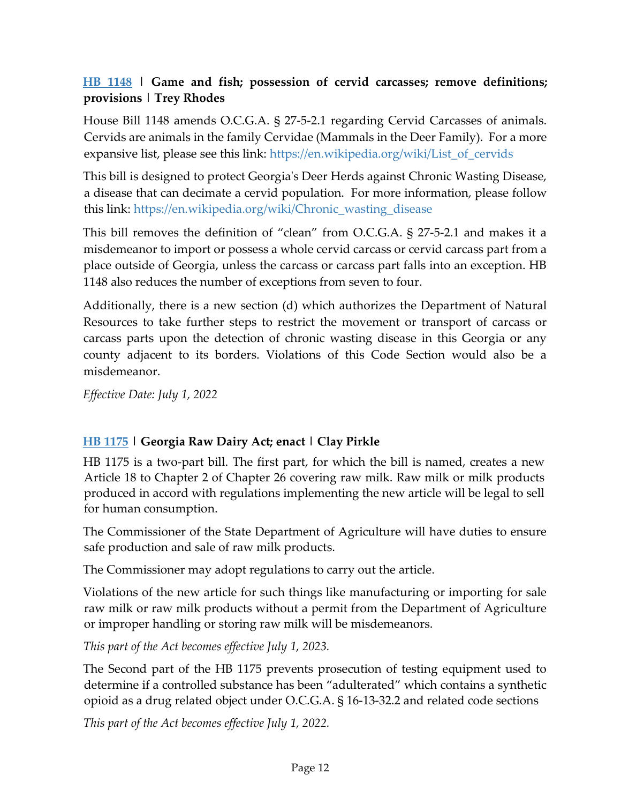### **[HB 1148](https://www.legis.ga.gov/legislation/61579) | Game and fish; possession of cervid carcasses; remove definitions; provisions | Trey Rhodes**

House Bill 1148 amends O.C.G.A. § 27-5-2.1 regarding Cervid Carcasses of animals. Cervids are animals in the family Cervidae (Mammals in the Deer Family). For a more expansive list, please see this link: https://en.wikipedia.org/wiki/List\_of\_cervids

This bill is designed to protect Georgia's Deer Herds against Chronic Wasting Disease, a disease that can decimate a cervid population. For more information, please follow this link: [https://en.wikipedia.org/wiki/Chronic\\_wasting\\_disease](https://en.wikipedia.org/wiki/Chronic_wasting_disease)

This bill removes the definition of "clean" from O.C.G.A. § 27-5-2.1 and makes it a misdemeanor to import or possess a whole cervid carcass or cervid carcass part from a place outside of Georgia, unless the carcass or carcass part falls into an exception. HB 1148 also reduces the number of exceptions from seven to four.

Additionally, there is a new section (d) which authorizes the Department of Natural Resources to take further steps to restrict the movement or transport of carcass or carcass parts upon the detection of chronic wasting disease in this Georgia or any county adjacent to its borders. Violations of this Code Section would also be a misdemeanor.

*Effective Date: July 1, 2022*

### **[HB 1175](https://www.legis.ga.gov/legislation/61674) | Georgia Raw Dairy Act; enact | Clay Pirkle**

HB 1175 is a two-part bill. The first part, for which the bill is named, creates a new Article 18 to Chapter 2 of Chapter 26 covering raw milk. Raw milk or milk products produced in accord with regulations implementing the new article will be legal to sell for human consumption.

The Commissioner of the State Department of Agriculture will have duties to ensure safe production and sale of raw milk products.

The Commissioner may adopt regulations to carry out the article.

Violations of the new article for such things like manufacturing or importing for sale raw milk or raw milk products without a permit from the Department of Agriculture or improper handling or storing raw milk will be misdemeanors.

*This part of the Act becomes effective July 1, 2023.* 

The Second part of the HB 1175 prevents prosecution of testing equipment used to determine if a controlled substance has been "adulterated" which contains a synthetic opioid as a drug related object under O.C.G.A. § 16-13-32.2 and related code sections

*This part of the Act becomes effective July 1, 2022.*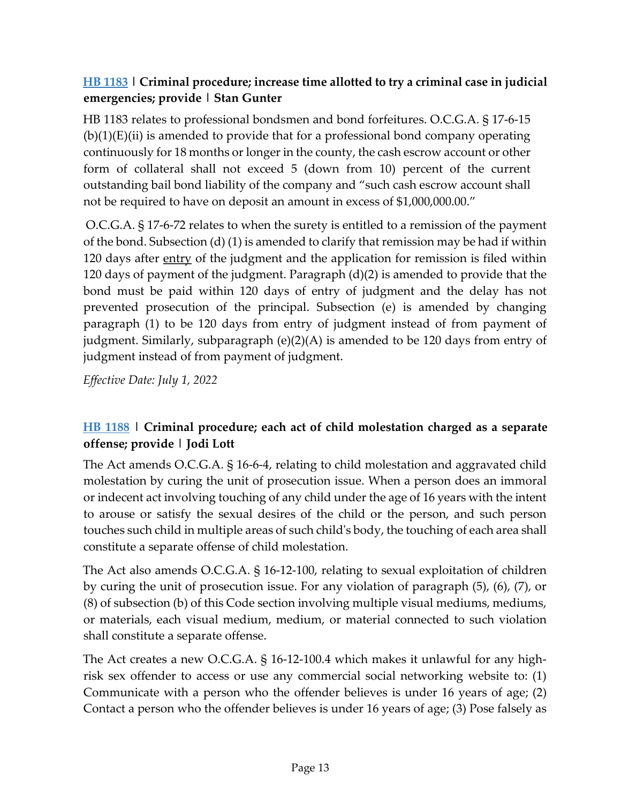### **[HB 1183](https://www.legis.ga.gov/legislation/61682) | Criminal procedure; increase time allotted to try a criminal case in judicial emergencies; provide | Stan Gunter**

HB 1183 relates to professional bondsmen and bond forfeitures. O.C.G.A. § 17-6-15  $(b)(1)(E)(ii)$  is amended to provide that for a professional bond company operating continuously for 18 months or longer in the county, the cash escrow account or other form of collateral shall not exceed 5 (down from 10) percent of the current outstanding bail bond liability of the company and "such cash escrow account shall not be required to have on deposit an amount in excess of \$1,000,000.00."

O.C.G.A. § 17-6-72 relates to when the surety is entitled to a remission of the payment of the bond. Subsection (d) (1) is amended to clarify that remission may be had if within 120 days after entry of the judgment and the application for remission is filed within 120 days of payment of the judgment. Paragraph (d)(2) is amended to provide that the bond must be paid within 120 days of entry of judgment and the delay has not prevented prosecution of the principal. Subsection (e) is amended by changing paragraph (1) to be 120 days from entry of judgment instead of from payment of judgment. Similarly, subparagraph  $(e)(2)(A)$  is amended to be 120 days from entry of judgment instead of from payment of judgment.

*Effective Date: July 1, 2022*

# **[HB 1188](https://www.legis.ga.gov/legislation/61687) | Criminal procedure; each act of child molestation charged as a separate offense; provide | Jodi Lott**

The Act amends O.C.G.A. § 16-6-4, relating to child molestation and aggravated child molestation by curing the unit of prosecution issue. When a person does an immoral or indecent act involving touching of any child under the age of 16 years with the intent to arouse or satisfy the sexual desires of the child or the person, and such person touches such child in multiple areas of such child's body, the touching of each area shall constitute a separate offense of child molestation.

The Act also amends O.C.G.A. § 16-12-100, relating to sexual exploitation of children by curing the unit of prosecution issue. For any violation of paragraph (5), (6), (7), or (8) of subsection (b) of this Code section involving multiple visual mediums, mediums, or materials, each visual medium, medium, or material connected to such violation shall constitute a separate offense.

The Act creates a new O.C.G.A. § 16-12-100.4 which makes it unlawful for any highrisk sex offender to access or use any commercial social networking website to: (1) Communicate with a person who the offender believes is under 16 years of age; (2) Contact a person who the offender believes is under 16 years of age; (3) Pose falsely as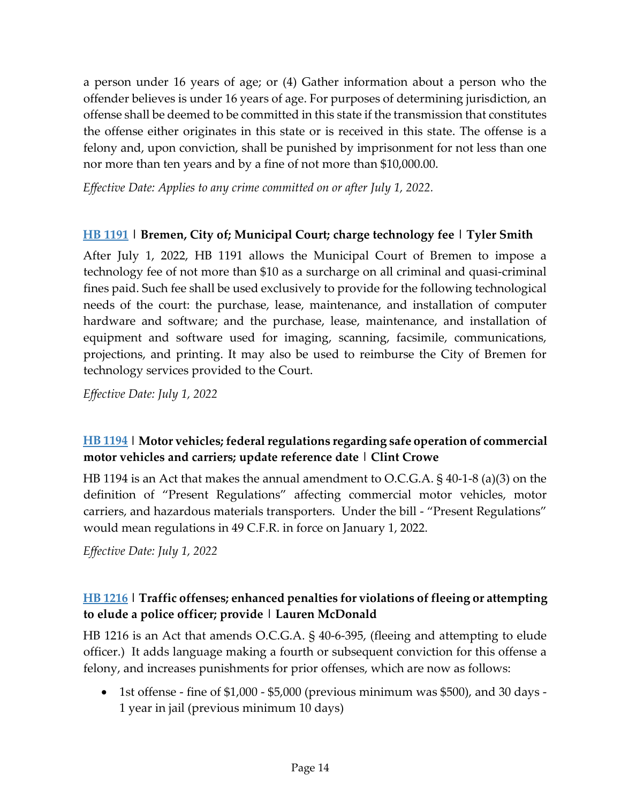a person under 16 years of age; or (4) Gather information about a person who the offender believes is under 16 years of age. For purposes of determining jurisdiction, an offense shall be deemed to be committed in this state if the transmission that constitutes the offense either originates in this state or is received in this state. The offense is a felony and, upon conviction, shall be punished by imprisonment for not less than one nor more than ten years and by a fine of not more than \$10,000.00.

*Effective Date: Applies to any crime committed on or after July 1, 2022.*

#### **[HB 1191](https://www.legis.ga.gov/legislation/61693) | Bremen, City of; Municipal Court; charge technology fee | Tyler Smith**

After July 1, 2022, HB 1191 allows the Municipal Court of Bremen to impose a technology fee of not more than \$10 as a surcharge on all criminal and quasi-criminal fines paid. Such fee shall be used exclusively to provide for the following technological needs of the court: the purchase, lease, maintenance, and installation of computer hardware and software; and the purchase, lease, maintenance, and installation of equipment and software used for imaging, scanning, facsimile, communications, projections, and printing. It may also be used to reimburse the City of Bremen for technology services provided to the Court.

*Effective Date: July 1, 2022*

# **[HB 1194](https://www.legis.ga.gov/legislation/61733) | Motor vehicles; federal regulations regarding safe operation of commercial motor vehicles and carriers; update reference date | Clint Crowe**

HB 1194 is an Act that makes the annual amendment to O.C.G.A. § 40-1-8 (a)(3) on the definition of "Present Regulations" affecting commercial motor vehicles, motor carriers, and hazardous materials transporters. Under the bill - "Present Regulations" would mean regulations in 49 C.F.R. in force on January 1, 2022.

*Effective Date: July 1, 2022*

### **[HB 1216](https://www.legis.ga.gov/legislation/61772) | Traffic offenses; enhanced penalties for violations of fleeing or attempting to elude a police officer; provide | Lauren McDonald**

HB 1216 is an Act that amends O.C.G.A. § 40-6-395, (fleeing and attempting to elude officer.) It adds language making a fourth or subsequent conviction for this offense a felony, and increases punishments for prior offenses, which are now as follows:

• 1st offense - fine of \$1,000 - \$5,000 (previous minimum was \$500), and 30 days - 1 year in jail (previous minimum 10 days)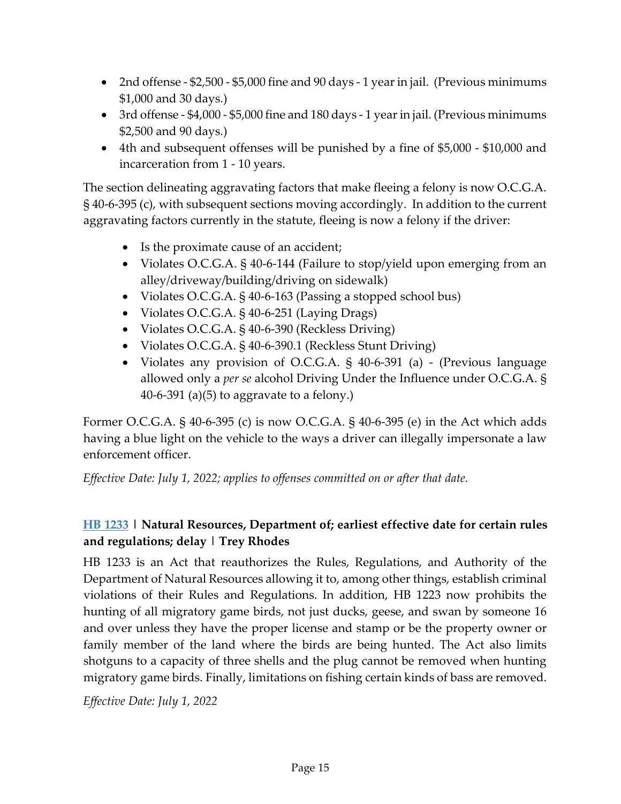- 2nd offense \$2,500 \$5,000 fine and 90 days 1 year in jail. (Previous minimums \$1,000 and 30 days.)
- 3rd offense \$4,000 \$5,000 fine and 180 days 1 year in jail. (Previous minimums \$2,500 and 90 days.)
- 4th and subsequent offenses will be punished by a fine of \$5,000 \$10,000 and incarceration from 1 - 10 years.

The section delineating aggravating factors that make fleeing a felony is now O.C.G.A. § 40-6-395 (c), with subsequent sections moving accordingly. In addition to the current aggravating factors currently in the statute, fleeing is now a felony if the driver:

- Is the proximate cause of an accident;
- Violates O.C.G.A. § 40-6-144 (Failure to stop/yield upon emerging from an alley/driveway/building/driving on sidewalk)
- Violates O.C.G.A. § 40-6-163 (Passing a stopped school bus)
- Violates O.C.G.A. § 40-6-251 (Laying Drags)
- Violates O.C.G.A. § 40-6-390 (Reckless Driving)
- Violates O.C.G.A. § 40-6-390.1 (Reckless Stunt Driving)
- Violates any provision of O.C.G.A. § 40-6-391 (a) (Previous language allowed only a *per se* alcohol Driving Under the Influence under O.C.G.A. § 40-6-391 (a) $(5)$  to aggravate to a felony.)

Former O.C.G.A. § 40-6-395 (c) is now O.C.G.A. § 40-6-395 (e) in the Act which adds having a blue light on the vehicle to the ways a driver can illegally impersonate a law enforcement officer.

*Effective Date: July 1, 2022; applies to offenses committed on or after that date.*

### **[HB 1233](https://www.legis.ga.gov/legislation/61824) | Natural Resources, Department of; earliest effective date for certain rules and regulations; delay | Trey Rhodes**

HB 1233 is an Act that reauthorizes the Rules, Regulations, and Authority of the Department of Natural Resources allowing it to, among other things, establish criminal violations of their Rules and Regulations. In addition, HB 1223 now prohibits the hunting of all migratory game birds, not just ducks, geese, and swan by someone 16 and over unless they have the proper license and stamp or be the property owner or family member of the land where the birds are being hunted. The Act also limits shotguns to a capacity of three shells and the plug cannot be removed when hunting migratory game birds. Finally, limitations on fishing certain kinds of bass are removed.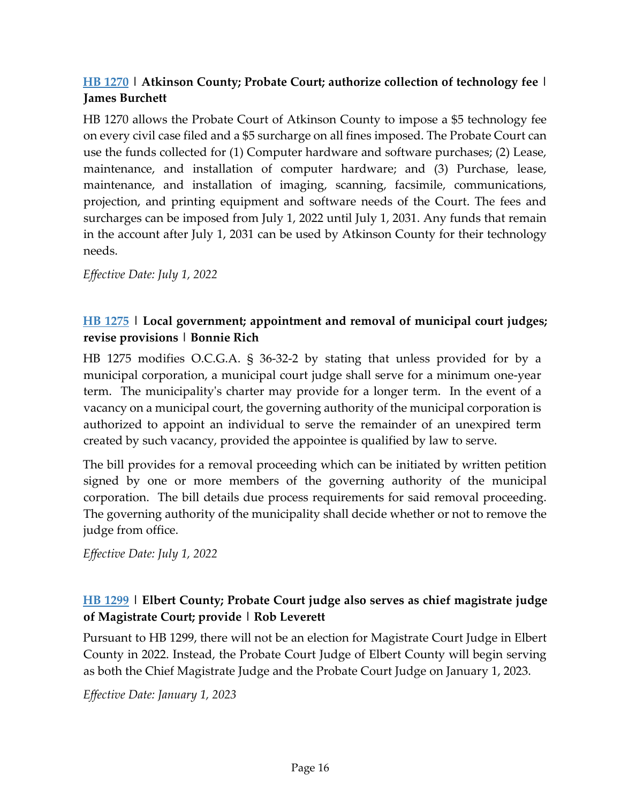### **[HB 1270](https://www.legis.ga.gov/legislation/61880) | Atkinson County; Probate Court; authorize collection of technology fee | James Burchett**

HB 1270 allows the Probate Court of Atkinson County to impose a \$5 technology fee on every civil case filed and a \$5 surcharge on all fines imposed. The Probate Court can use the funds collected for (1) Computer hardware and software purchases; (2) Lease, maintenance, and installation of computer hardware; and (3) Purchase, lease, maintenance, and installation of imaging, scanning, facsimile, communications, projection, and printing equipment and software needs of the Court. The fees and surcharges can be imposed from July 1, 2022 until July 1, 2031. Any funds that remain in the account after July 1, 2031 can be used by Atkinson County for their technology needs.

*Effective Date: July 1, 2022*

#### **[HB 1275](https://www.legis.ga.gov/legislation/61888) | Local government; appointment and removal of municipal court judges; revise provisions | Bonnie Rich**

HB 1275 modifies O.C.G.A. § 36-32-2 by stating that unless provided for by a municipal corporation, a municipal court judge shall serve for a minimum one-year term. The municipality's charter may provide for a longer term. In the event of a vacancy on a municipal court, the governing authority of the municipal corporation is authorized to appoint an individual to serve the remainder of an unexpired term created by such vacancy, provided the appointee is qualified by law to serve.

The bill provides for a removal proceeding which can be initiated by written petition signed by one or more members of the governing authority of the municipal corporation. The bill details due process requirements for said removal proceeding. The governing authority of the municipality shall decide whether or not to remove the judge from office.

*Effective Date: July 1, 2022*

### **[HB 1299](https://www.legis.ga.gov/legislation/61937) | Elbert County; Probate Court judge also serves as chief magistrate judge of Magistrate Court; provide | Rob Leverett**

Pursuant to HB 1299, there will not be an election for Magistrate Court Judge in Elbert County in 2022. Instead, the Probate Court Judge of Elbert County will begin serving as both the Chief Magistrate Judge and the Probate Court Judge on January 1, 2023.

*Effective Date: January 1, 2023*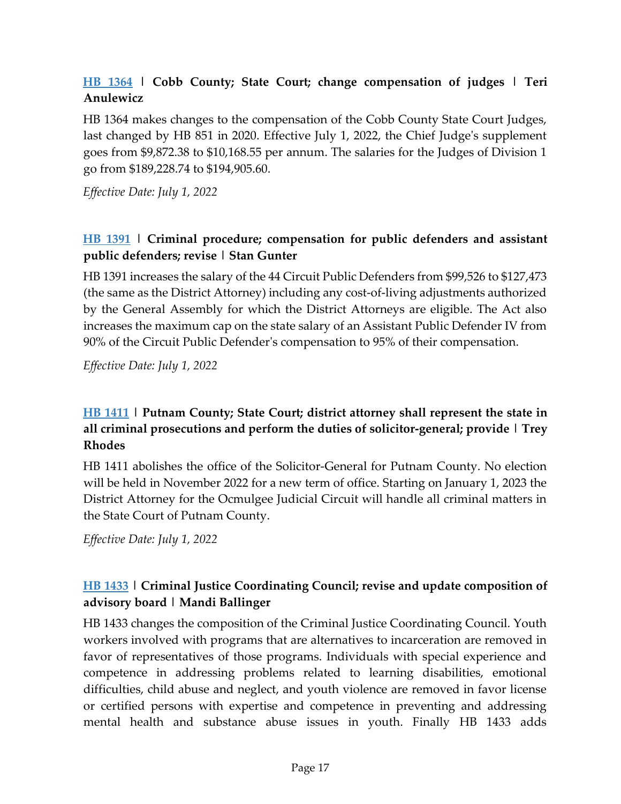### **[HB 1364](https://www.legis.ga.gov/legislation/62120) | Cobb County; State Court; change compensation of judges | Teri Anulewicz**

HB 1364 makes changes to the compensation of the Cobb County State Court Judges, last changed by HB 851 in 2020. Effective July 1, 2022, the Chief Judge's supplement goes from \$9,872.38 to \$10,168.55 per annum. The salaries for the Judges of Division 1 go from \$189,228.74 to \$194,905.60.

*Effective Date: July 1, 2022*

### **[HB 1391](https://www.legis.ga.gov/legislation/62219) | Criminal procedure; compensation for public defenders and assistant public defenders; revise | Stan Gunter**

HB 1391 increases the salary of the 44 Circuit Public Defenders from \$99,526 to \$127,473 (the same as the District Attorney) including any cost-of-living adjustments authorized by the General Assembly for which the District Attorneys are eligible. The Act also increases the maximum cap on the state salary of an Assistant Public Defender IV from 90% of the Circuit Public Defender's compensation to 95% of their compensation.

*Effective Date: July 1, 2022*

# **[HB 1411](https://www.legis.ga.gov/legislation/62252) | Putnam County; State Court; district attorney shall represent the state in all criminal prosecutions and perform the duties of solicitor-general; provide | Trey Rhodes**

HB 1411 abolishes the office of the Solicitor-General for Putnam County. No election will be held in November 2022 for a new term of office. Starting on January 1, 2023 the District Attorney for the Ocmulgee Judicial Circuit will handle all criminal matters in the State Court of Putnam County.

*Effective Date: July 1, 2022*

# **[HB 1433](https://www.legis.ga.gov/legislation/62333) | Criminal Justice Coordinating Council; revise and update composition of advisory board | Mandi Ballinger**

HB 1433 changes the composition of the Criminal Justice Coordinating Council. Youth workers involved with programs that are alternatives to incarceration are removed in favor of representatives of those programs. Individuals with special experience and competence in addressing problems related to learning disabilities, emotional difficulties, child abuse and neglect, and youth violence are removed in favor license or certified persons with expertise and competence in preventing and addressing mental health and substance abuse issues in youth. Finally HB 1433 adds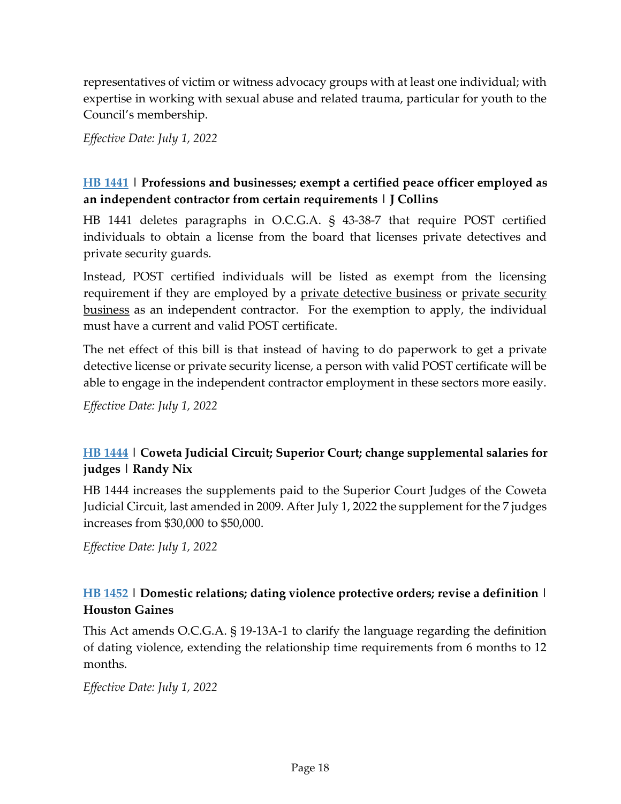representatives of victim or witness advocacy groups with at least one individual; with expertise in working with sexual abuse and related trauma, particular for youth to the Council's membership.

*Effective Date: July 1, 2022*

#### **[HB 1441](https://www.legis.ga.gov/legislation/62350) | Professions and businesses; exempt a certified peace officer employed as an independent contractor from certain requirements | J Collins**

HB 1441 deletes paragraphs in O.C.G.A. § 43-38-7 that require POST certified individuals to obtain a license from the board that licenses private detectives and private security guards.

Instead, POST certified individuals will be listed as exempt from the licensing requirement if they are employed by a private detective business or private security business as an independent contractor. For the exemption to apply, the individual must have a current and valid POST certificate.

The net effect of this bill is that instead of having to do paperwork to get a private detective license or private security license, a person with valid POST certificate will be able to engage in the independent contractor employment in these sectors more easily.

*Effective Date: July 1, 2022*

# **[HB 1444](https://www.legis.ga.gov/legislation/62363) | Coweta Judicial Circuit; Superior Court; change supplemental salaries for judges | Randy Nix**

HB 1444 increases the supplements paid to the Superior Court Judges of the Coweta Judicial Circuit, last amended in 2009. After July 1, 2022 the supplement for the 7 judges increases from \$30,000 to \$50,000.

*Effective Date: July 1, 2022*

### **[HB 1452](https://www.legis.ga.gov/legislation/62372) | Domestic relations; dating violence protective orders; revise a definition | Houston Gaines**

This Act amends O.C.G.A. § 19-13A-1 to clarify the language regarding the definition of dating violence, extending the relationship time requirements from 6 months to 12 months.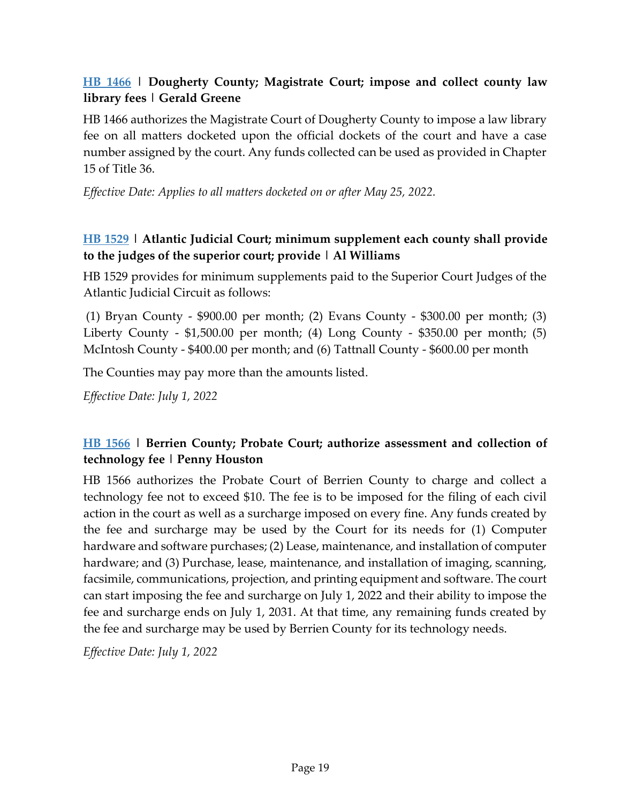### **[HB 1466](https://www.legis.ga.gov/legislation/62424) | Dougherty County; Magistrate Court; impose and collect county law library fees | Gerald Greene**

HB 1466 authorizes the Magistrate Court of Dougherty County to impose a law library fee on all matters docketed upon the official dockets of the court and have a case number assigned by the court. Any funds collected can be used as provided in Chapter 15 of Title 36.

*Effective Date: Applies to all matters docketed on or after May 25, 2022.*

# **[HB 1529](https://www.legis.ga.gov/legislation/62630) | Atlantic Judicial Court; minimum supplement each county shall provide to the judges of the superior court; provide | Al Williams**

HB 1529 provides for minimum supplements paid to the Superior Court Judges of the Atlantic Judicial Circuit as follows:

(1) Bryan County - \$900.00 per month; (2) Evans County - \$300.00 per month; (3) Liberty County - \$1,500.00 per month; (4) Long County - \$350.00 per month; (5) McIntosh County - \$400.00 per month; and (6) Tattnall County - \$600.00 per month

The Counties may pay more than the amounts listed.

*Effective Date: July 1, 2022*

# **[HB 1566](https://www.legis.ga.gov/legislation/62809) | Berrien County; Probate Court; authorize assessment and collection of technology fee | Penny Houston**

HB 1566 authorizes the Probate Court of Berrien County to charge and collect a technology fee not to exceed \$10. The fee is to be imposed for the filing of each civil action in the court as well as a surcharge imposed on every fine. Any funds created by the fee and surcharge may be used by the Court for its needs for (1) Computer hardware and software purchases; (2) Lease, maintenance, and installation of computer hardware; and (3) Purchase, lease, maintenance, and installation of imaging, scanning, facsimile, communications, projection, and printing equipment and software. The court can start imposing the fee and surcharge on July 1, 2022 and their ability to impose the fee and surcharge ends on July 1, 2031. At that time, any remaining funds created by the fee and surcharge may be used by Berrien County for its technology needs.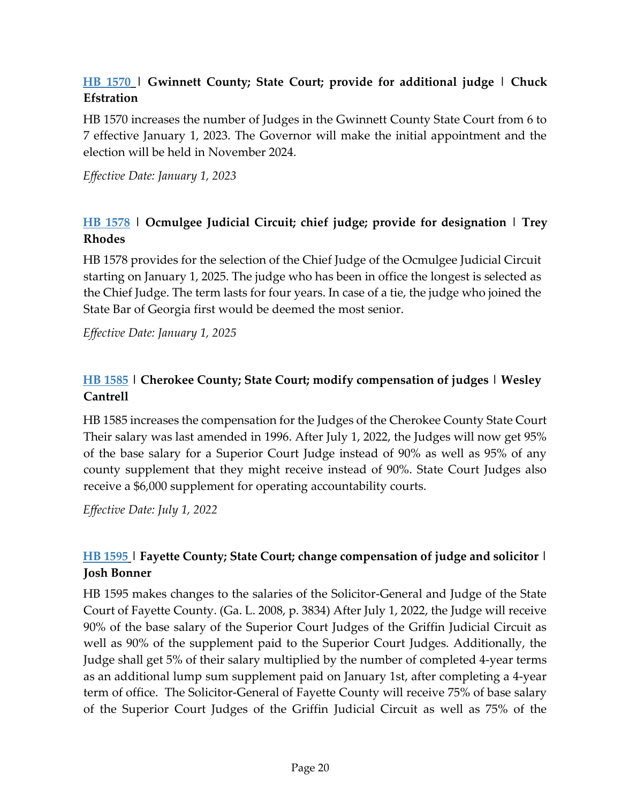### **[HB 1570](https://www.legis.ga.gov/legislation/62904) | Gwinnett County; State Court; provide for additional judge | Chuck Efstration**

HB 1570 increases the number of Judges in the Gwinnett County State Court from 6 to 7 effective January 1, 2023. The Governor will make the initial appointment and the election will be held in November 2024.

*Effective Date: January 1, 2023*

### **[HB 1578](https://www.legis.ga.gov/legislation/62941) | Ocmulgee Judicial Circuit; chief judge; provide for designation | Trey Rhodes**

HB 1578 provides for the selection of the Chief Judge of the Ocmulgee Judicial Circuit starting on January 1, 2025. The judge who has been in office the longest is selected as the Chief Judge. The term lasts for four years. In case of a tie, the judge who joined the State Bar of Georgia first would be deemed the most senior.

*Effective Date: January 1, 2025*

### **[HB 1585](https://www.legis.ga.gov/legislation/62961) | Cherokee County; State Court; modify compensation of judges | Wesley Cantrell**

HB 1585 increases the compensation for the Judges of the Cherokee County State Court Their salary was last amended in 1996. After July 1, 2022, the Judges will now get 95% of the base salary for a Superior Court Judge instead of 90% as well as 95% of any county supplement that they might receive instead of 90%. State Court Judges also receive a \$6,000 supplement for operating accountability courts.

*Effective Date: July 1, 2022*

### **[HB 1595](https://www.legis.ga.gov/legislation/63008) | Fayette County; State Court; change compensation of judge and solicitor | Josh Bonner**

HB 1595 makes changes to the salaries of the Solicitor-General and Judge of the State Court of Fayette County. (Ga. L. 2008, p. 3834) After July 1, 2022, the Judge will receive 90% of the base salary of the Superior Court Judges of the Griffin Judicial Circuit as well as 90% of the supplement paid to the Superior Court Judges. Additionally, the Judge shall get 5% of their salary multiplied by the number of completed 4-year terms as an additional lump sum supplement paid on January 1st, after completing a 4-year term of office. The Solicitor-General of Fayette County will receive 75% of base salary of the Superior Court Judges of the Griffin Judicial Circuit as well as 75% of the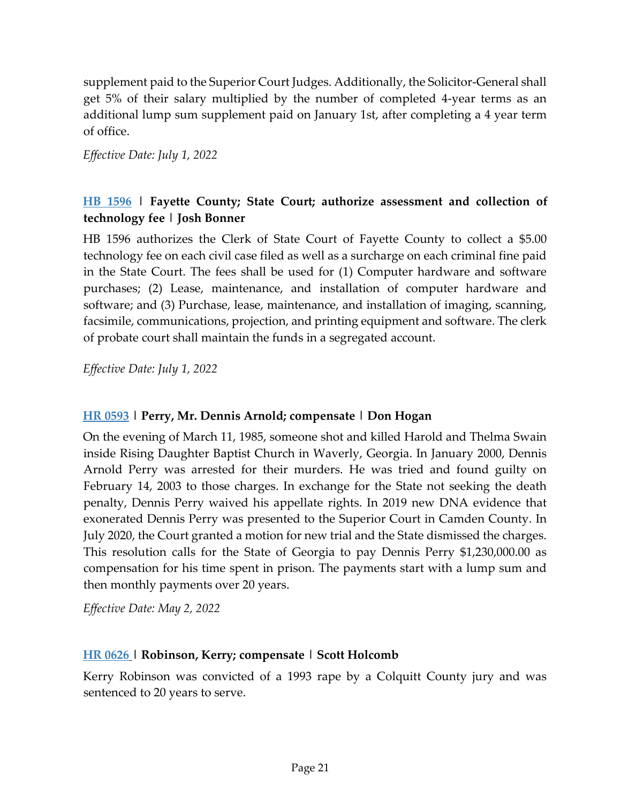supplement paid to the Superior Court Judges. Additionally, the Solicitor-General shall get 5% of their salary multiplied by the number of completed 4-year terms as an additional lump sum supplement paid on January 1st, after completing a 4 year term of office.

*Effective Date: July 1, 2022*

### **[HB 1596](https://www.legis.ga.gov/legislation/63009) | Fayette County; State Court; authorize assessment and collection of technology fee | Josh Bonner**

HB 1596 authorizes the Clerk of State Court of Fayette County to collect a \$5.00 technology fee on each civil case filed as well as a surcharge on each criminal fine paid in the State Court. The fees shall be used for (1) Computer hardware and software purchases; (2) Lease, maintenance, and installation of computer hardware and software; and (3) Purchase, lease, maintenance, and installation of imaging, scanning, facsimile, communications, projection, and printing equipment and software. The clerk of probate court shall maintain the funds in a segregated account.

*Effective Date: July 1, 2022*

#### **[HR 0593](https://www.legis.ga.gov/legislation/61189) | Perry, Mr. Dennis Arnold; compensate | Don Hogan**

On the evening of March 11, 1985, someone shot and killed Harold and Thelma Swain inside Rising Daughter Baptist Church in Waverly, Georgia. In January 2000, Dennis Arnold Perry was arrested for their murders. He was tried and found guilty on February 14, 2003 to those charges. In exchange for the State not seeking the death penalty, Dennis Perry waived his appellate rights. In 2019 new DNA evidence that exonerated Dennis Perry was presented to the Superior Court in Camden County. In July 2020, the Court granted a motion for new trial and the State dismissed the charges. This resolution calls for the State of Georgia to pay Dennis Perry \$1,230,000.00 as compensation for his time spent in prison. The payments start with a lump sum and then monthly payments over 20 years.

*Effective Date: May 2, 2022*

#### **[HR 0626](https://www.legis.ga.gov/legislation/61350) | Robinson, Kerry; compensate | Scott Holcomb**

Kerry Robinson was convicted of a 1993 rape by a Colquitt County jury and was sentenced to 20 years to serve.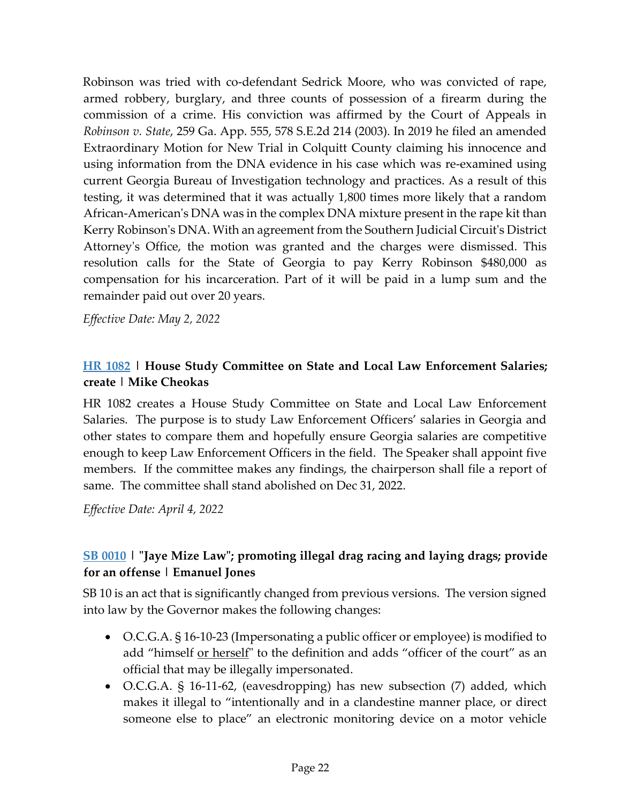Robinson was tried with co-defendant Sedrick Moore, who was convicted of rape, armed robbery, burglary, and three counts of possession of a firearm during the commission of a crime. His conviction was affirmed by the Court of Appeals in *Robinson v. State*, 259 Ga. App. 555, 578 S.E.2d 214 (2003). In 2019 he filed an amended Extraordinary Motion for New Trial in Colquitt County claiming his innocence and using information from the DNA evidence in his case which was re-examined using current Georgia Bureau of Investigation technology and practices. As a result of this testing, it was determined that it was actually 1,800 times more likely that a random African-American's DNA was in the complex DNA mixture present in the rape kit than Kerry Robinson's DNA. With an agreement from the Southern Judicial Circuit's District Attorney's Office, the motion was granted and the charges were dismissed. This resolution calls for the State of Georgia to pay Kerry Robinson \$480,000 as compensation for his incarceration. Part of it will be paid in a lump sum and the remainder paid out over 20 years.

*Effective Date: May 2, 2022*

#### **[HR 1082](https://www.legis.ga.gov/legislation/63037) | House Study Committee on State and Local Law Enforcement Salaries; create | Mike Cheokas**

HR 1082 creates a House Study Committee on State and Local Law Enforcement Salaries. The purpose is to study Law Enforcement Officers' salaries in Georgia and other states to compare them and hopefully ensure Georgia salaries are competitive enough to keep Law Enforcement Officers in the field. The Speaker shall appoint five members. If the committee makes any findings, the chairperson shall file a report of same. The committee shall stand abolished on Dec 31, 2022.

*Effective Date: April 4, 2022*

#### **[SB 0010](https://www.legis.ga.gov/legislation/58927) | "Jaye Mize Law"; promoting illegal drag racing and laying drags; provide for an offense | Emanuel Jones**

SB 10 is an act that is significantly changed from previous versions. The version signed into law by the Governor makes the following changes:

- O.C.G.A. § 16-10-23 (Impersonating a public officer or employee) is modified to add "himself or herself" to the definition and adds "officer of the court" as an official that may be illegally impersonated.
- O.C.G.A. § 16-11-62, (eavesdropping) has new subsection (7) added, which makes it illegal to "intentionally and in a clandestine manner place, or direct someone else to place" an electronic monitoring device on a motor vehicle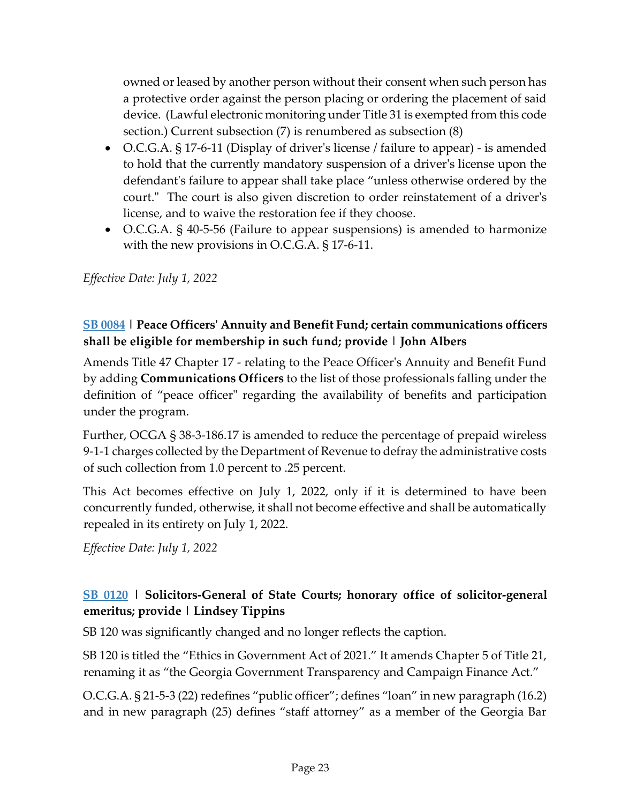owned or leased by another person without their consent when such person has a protective order against the person placing or ordering the placement of said device. (Lawful electronic monitoring under Title 31 is exempted from this code section.) Current subsection (7) is renumbered as subsection (8)

- O.C.G.A. § 17-6-11 (Display of driver's license / failure to appear) is amended to hold that the currently mandatory suspension of a driver's license upon the defendant's failure to appear shall take place "unless otherwise ordered by the court." The court is also given discretion to order reinstatement of a driver's license, and to waive the restoration fee if they choose.
- O.C.G.A. § 40-5-56 (Failure to appear suspensions) is amended to harmonize with the new provisions in O.C.G.A. § 17-6-11.

#### *Effective Date: July 1, 2022*

### **[SB 0084](https://www.legis.ga.gov/legislation/59268) | Peace Officers' Annuity and Benefit Fund; certain communications officers shall be eligible for membership in such fund; provide | John Albers**

Amends Title 47 Chapter 17 - relating to the Peace Officer's Annuity and Benefit Fund by adding **Communications Officers** to the list of those professionals falling under the definition of "peace officer" regarding the availability of benefits and participation under the program.

Further, OCGA § 38-3-186.17 is amended to reduce the percentage of prepaid wireless 9-1-1 charges collected by the Department of Revenue to defray the administrative costs of such collection from 1.0 percent to .25 percent.

This Act becomes effective on July 1, 2022, only if it is determined to have been concurrently funded, otherwise, it shall not become effective and shall be automatically repealed in its entirety on July 1, 2022.

*Effective Date: July 1, 2022*

# **[SB 0120](https://www.legis.ga.gov/legislation/59473) | Solicitors-General of State Courts; honorary office of solicitor-general emeritus; provide | Lindsey Tippins**

SB 120 was significantly changed and no longer reflects the caption.

SB 120 is titled the "Ethics in Government Act of 2021." It amends Chapter 5 of Title 21, renaming it as "the Georgia Government Transparency and Campaign Finance Act."

O.C.G.A. § 21-5-3 (22) redefines "public officer"; defines "loan" in new paragraph (16.2) and in new paragraph (25) defines "staff attorney" as a member of the Georgia Bar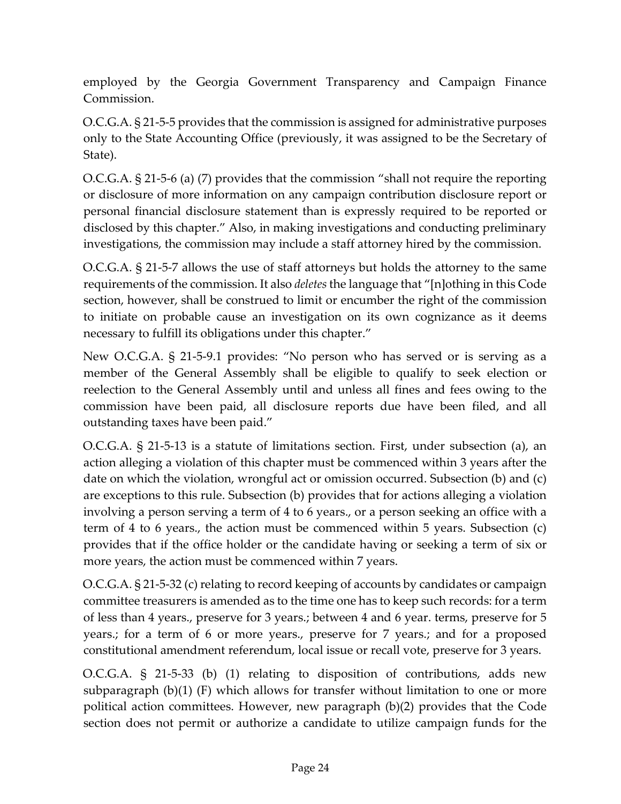employed by the Georgia Government Transparency and Campaign Finance Commission.

O.C.G.A. § 21-5-5 provides that the commission is assigned for administrative purposes only to the State Accounting Office (previously, it was assigned to be the Secretary of State).

O.C.G.A. § 21-5-6 (a) (7) provides that the commission "shall not require the reporting or disclosure of more information on any campaign contribution disclosure report or personal financial disclosure statement than is expressly required to be reported or disclosed by this chapter." Also, in making investigations and conducting preliminary investigations, the commission may include a staff attorney hired by the commission.

O.C.G.A. § 21-5-7 allows the use of staff attorneys but holds the attorney to the same requirements of the commission. It also *deletes* the language that "[n]othing in this Code section, however, shall be construed to limit or encumber the right of the commission to initiate on probable cause an investigation on its own cognizance as it deems necessary to fulfill its obligations under this chapter."

New O.C.G.A. § 21-5-9.1 provides: "No person who has served or is serving as a member of the General Assembly shall be eligible to qualify to seek election or reelection to the General Assembly until and unless all fines and fees owing to the commission have been paid, all disclosure reports due have been filed, and all outstanding taxes have been paid."

O.C.G.A. § 21-5-13 is a statute of limitations section. First, under subsection (a), an action alleging a violation of this chapter must be commenced within 3 years after the date on which the violation, wrongful act or omission occurred. Subsection (b) and (c) are exceptions to this rule. Subsection (b) provides that for actions alleging a violation involving a person serving a term of 4 to 6 years., or a person seeking an office with a term of 4 to 6 years., the action must be commenced within 5 years. Subsection (c) provides that if the office holder or the candidate having or seeking a term of six or more years, the action must be commenced within 7 years.

O.C.G.A. § 21-5-32 (c) relating to record keeping of accounts by candidates or campaign committee treasurers is amended as to the time one has to keep such records: for a term of less than 4 years., preserve for 3 years.; between 4 and 6 year. terms, preserve for 5 years.; for a term of 6 or more years., preserve for 7 years.; and for a proposed constitutional amendment referendum, local issue or recall vote, preserve for 3 years.

O.C.G.A. § 21-5-33 (b) (1) relating to disposition of contributions, adds new subparagraph (b)(1) (F) which allows for transfer without limitation to one or more political action committees. However, new paragraph (b)(2) provides that the Code section does not permit or authorize a candidate to utilize campaign funds for the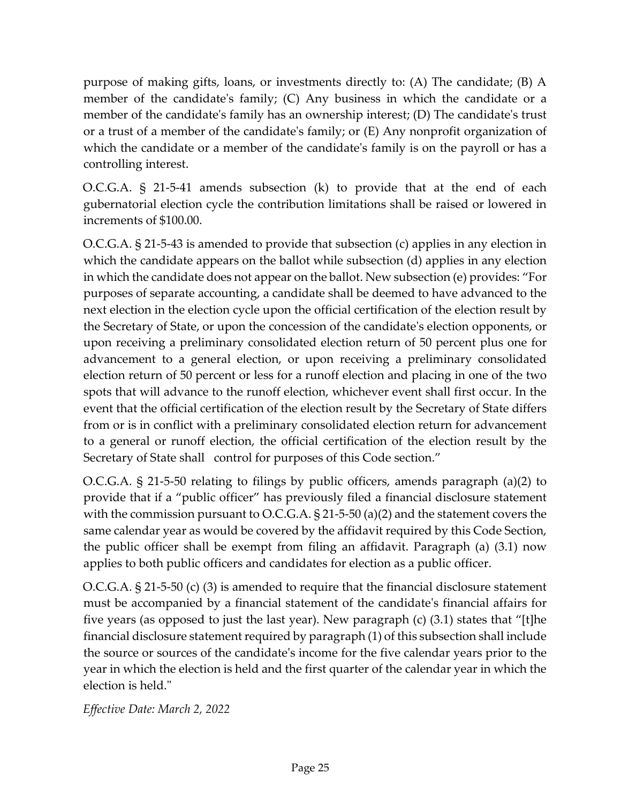purpose of making gifts, loans, or investments directly to: (A) The candidate; (B) A member of the candidate's family; (C) Any business in which the candidate or a member of the candidate's family has an ownership interest; (D) The candidate's trust or a trust of a member of the candidate's family; or (E) Any nonprofit organization of which the candidate or a member of the candidate's family is on the payroll or has a controlling interest.

O.C.G.A. § 21-5-41 amends subsection (k) to provide that at the end of each gubernatorial election cycle the contribution limitations shall be raised or lowered in increments of \$100.00.

O.C.G.A. § 21-5-43 is amended to provide that subsection (c) applies in any election in which the candidate appears on the ballot while subsection (d) applies in any election in which the candidate does not appear on the ballot. New subsection (e) provides: "For purposes of separate accounting, a candidate shall be deemed to have advanced to the next election in the election cycle upon the official certification of the election result by the Secretary of State, or upon the concession of the candidate's election opponents, or upon receiving a preliminary consolidated election return of 50 percent plus one for advancement to a general election, or upon receiving a preliminary consolidated election return of 50 percent or less for a runoff election and placing in one of the two spots that will advance to the runoff election, whichever event shall first occur. In the event that the official certification of the election result by the Secretary of State differs from or is in conflict with a preliminary consolidated election return for advancement to a general or runoff election, the official certification of the election result by the Secretary of State shall control for purposes of this Code section."

O.C.G.A. § 21-5-50 relating to filings by public officers, amends paragraph (a)(2) to provide that if a "public officer" has previously filed a financial disclosure statement with the commission pursuant to O.C.G.A. § 21-5-50 (a)(2) and the statement covers the same calendar year as would be covered by the affidavit required by this Code Section, the public officer shall be exempt from filing an affidavit. Paragraph (a) (3.1) now applies to both public officers and candidates for election as a public officer.

O.C.G.A. § 21-5-50 (c) (3) is amended to require that the financial disclosure statement must be accompanied by a financial statement of the candidate's financial affairs for five years (as opposed to just the last year). New paragraph (c) (3.1) states that "[t]he financial disclosure statement required by paragraph (1) of this subsection shall include the source or sources of the candidate's income for the five calendar years prior to the year in which the election is held and the first quarter of the calendar year in which the election is held."

*Effective Date: March 2, 2022*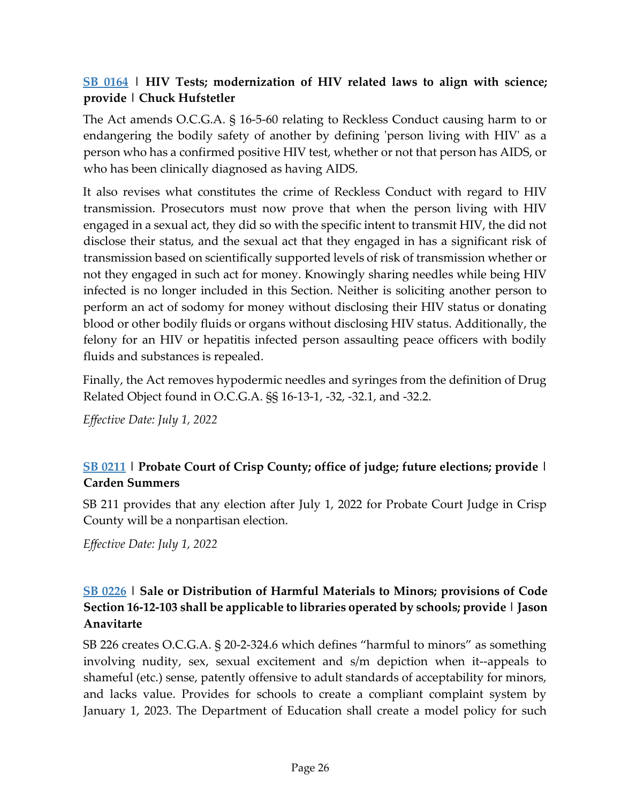### **[SB 0164](https://www.legis.ga.gov/legislation/59624) | HIV Tests; modernization of HIV related laws to align with science; provide | Chuck Hufstetler**

The Act amends O.C.G.A. § 16-5-60 relating to Reckless Conduct causing harm to or endangering the bodily safety of another by defining 'person living with HIV' as a person who has a confirmed positive HIV test, whether or not that person has AIDS, or who has been clinically diagnosed as having AIDS.

It also revises what constitutes the crime of Reckless Conduct with regard to HIV transmission. Prosecutors must now prove that when the person living with HIV engaged in a sexual act, they did so with the specific intent to transmit HIV, the did not disclose their status, and the sexual act that they engaged in has a significant risk of transmission based on scientifically supported levels of risk of transmission whether or not they engaged in such act for money. Knowingly sharing needles while being HIV infected is no longer included in this Section. Neither is soliciting another person to perform an act of sodomy for money without disclosing their HIV status or donating blood or other bodily fluids or organs without disclosing HIV status. Additionally, the felony for an HIV or hepatitis infected person assaulting peace officers with bodily fluids and substances is repealed.

Finally, the Act removes hypodermic needles and syringes from the definition of Drug Related Object found in O.C.G.A. §§ 16-13-1, -32, -32.1, and -32.2.

*Effective Date: July 1, 2022*

# **[SB 0211](https://www.legis.ga.gov/legislation/59905) | Probate Court of Crisp County; office of judge; future elections; provide | Carden Summers**

SB 211 provides that any election after July 1, 2022 for Probate Court Judge in Crisp County will be a nonpartisan election.

*Effective Date: July 1, 2022*

# **[SB 0226](https://www.legis.ga.gov/legislation/59932) [|](https://www.legis.ga.gov/legislation/59932) Sale or Distribution of Harmful Materials to Minors; provisions of Code Section 16-12-103 shall be applicable to libraries operated by schools; provide | Jason Anavitarte**

SB 226 creates O.C.G.A. § 20-2-324.6 which defines "harmful to minors" as something involving nudity, sex, sexual excitement and s/m depiction when it--appeals to shameful (etc.) sense, patently offensive to adult standards of acceptability for minors, and lacks value. Provides for schools to create a compliant complaint system by January 1, 2023. The Department of Education shall create a model policy for such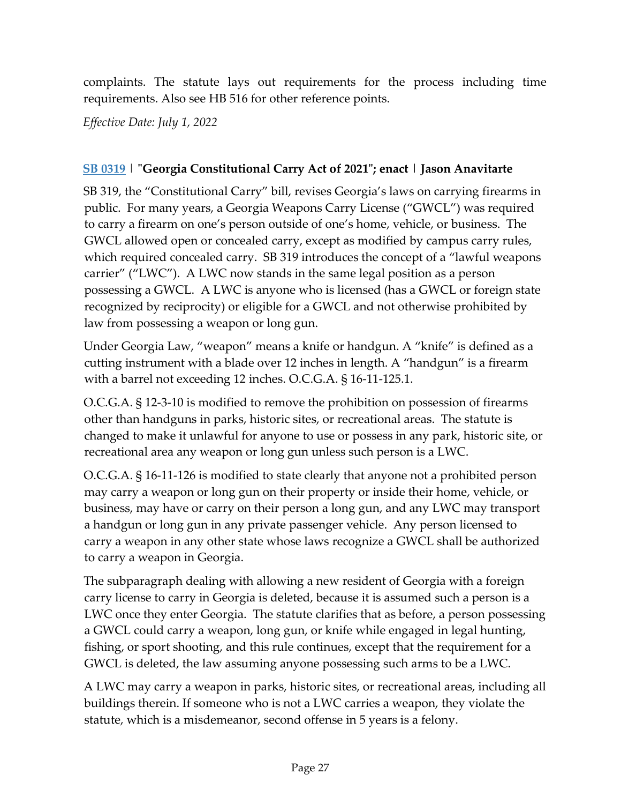complaints. The statute lays out requirements for the process including time requirements. Also see HB 516 for other reference points.

*Effective Date: July 1, 2022*

#### **[SB 0319](https://www.legis.ga.gov/legislation/60797) [|](https://www.legis.ga.gov/legislation/60797) "Georgia Constitutional Carry Act of 2021"; enact | Jason Anavitarte**

SB 319, the "Constitutional Carry" bill, revises Georgia's laws on carrying firearms in public. For many years, a Georgia Weapons Carry License ("GWCL") was required to carry a firearm on one's person outside of one's home, vehicle, or business. The GWCL allowed open or concealed carry, except as modified by campus carry rules, which required concealed carry. SB 319 introduces the concept of a "lawful weapons carrier" ("LWC"). A LWC now stands in the same legal position as a person possessing a GWCL. A LWC is anyone who is licensed (has a GWCL or foreign state recognized by reciprocity) or eligible for a GWCL and not otherwise prohibited by law from possessing a weapon or long gun.

Under Georgia Law, "weapon" means a knife or handgun. A "knife" is defined as a cutting instrument with a blade over 12 inches in length. A "handgun" is a firearm with a barrel not exceeding 12 inches. O.C.G.A. § 16-11-125.1.

O.C.G.A. § 12-3-10 is modified to remove the prohibition on possession of firearms other than handguns in parks, historic sites, or recreational areas. The statute is changed to make it unlawful for anyone to use or possess in any park, historic site, or recreational area any weapon or long gun unless such person is a LWC.

O.C.G.A. § 16-11-126 is modified to state clearly that anyone not a prohibited person may carry a weapon or long gun on their property or inside their home, vehicle, or business, may have or carry on their person a long gun, and any LWC may transport a handgun or long gun in any private passenger vehicle. Any person licensed to carry a weapon in any other state whose laws recognize a GWCL shall be authorized to carry a weapon in Georgia.

The subparagraph dealing with allowing a new resident of Georgia with a foreign carry license to carry in Georgia is deleted, because it is assumed such a person is a LWC once they enter Georgia. The statute clarifies that as before, a person possessing a GWCL could carry a weapon, long gun, or knife while engaged in legal hunting, fishing, or sport shooting, and this rule continues, except that the requirement for a GWCL is deleted, the law assuming anyone possessing such arms to be a LWC.

A LWC may carry a weapon in parks, historic sites, or recreational areas, including all buildings therein. If someone who is not a LWC carries a weapon, they violate the statute, which is a misdemeanor, second offense in 5 years is a felony.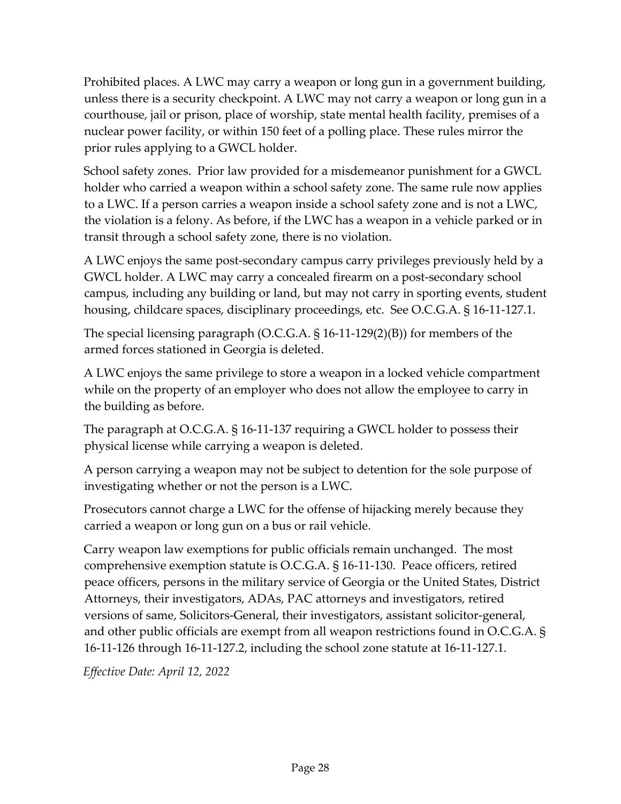Prohibited places. A LWC may carry a weapon or long gun in a government building, unless there is a security checkpoint. A LWC may not carry a weapon or long gun in a courthouse, jail or prison, place of worship, state mental health facility, premises of a nuclear power facility, or within 150 feet of a polling place. These rules mirror the prior rules applying to a GWCL holder.

School safety zones. Prior law provided for a misdemeanor punishment for a GWCL holder who carried a weapon within a school safety zone. The same rule now applies to a LWC. If a person carries a weapon inside a school safety zone and is not a LWC, the violation is a felony. As before, if the LWC has a weapon in a vehicle parked or in transit through a school safety zone, there is no violation.

A LWC enjoys the same post-secondary campus carry privileges previously held by a GWCL holder. A LWC may carry a concealed firearm on a post-secondary school campus, including any building or land, but may not carry in sporting events, student housing, childcare spaces, disciplinary proceedings, etc. See O.C.G.A. § 16-11-127.1.

The special licensing paragraph (O.C.G.A. § 16-11-129(2)(B)) for members of the armed forces stationed in Georgia is deleted.

A LWC enjoys the same privilege to store a weapon in a locked vehicle compartment while on the property of an employer who does not allow the employee to carry in the building as before.

The paragraph at O.C.G.A. § 16-11-137 requiring a GWCL holder to possess their physical license while carrying a weapon is deleted.

A person carrying a weapon may not be subject to detention for the sole purpose of investigating whether or not the person is a LWC.

Prosecutors cannot charge a LWC for the offense of hijacking merely because they carried a weapon or long gun on a bus or rail vehicle.

Carry weapon law exemptions for public officials remain unchanged. The most comprehensive exemption statute is O.C.G.A. § 16-11-130. Peace officers, retired peace officers, persons in the military service of Georgia or the United States, District Attorneys, their investigators, ADAs, PAC attorneys and investigators, retired versions of same, Solicitors-General, their investigators, assistant solicitor-general, and other public officials are exempt from all weapon restrictions found in O.C.G.A. § 16-11-126 through 16-11-127.2, including the school zone statute at 16-11-127.1.

*Effective Date: April 12, 2022*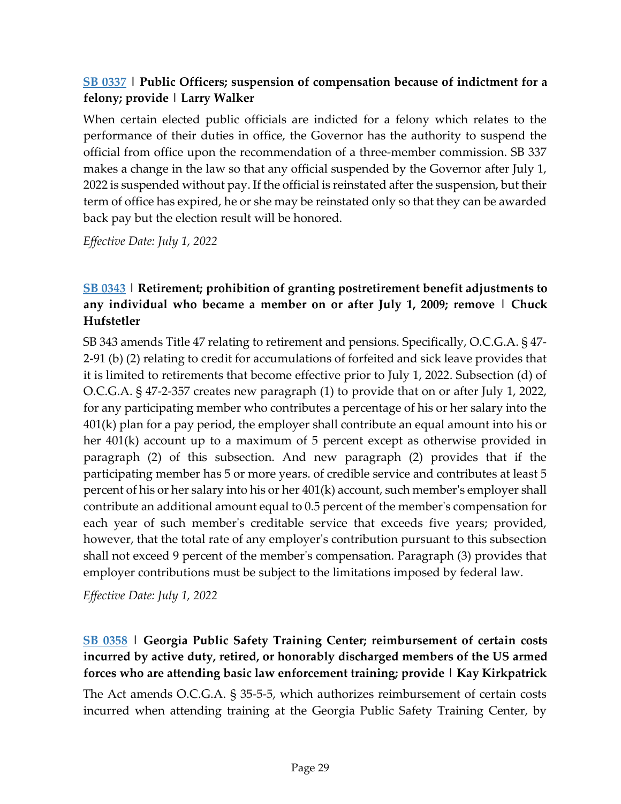### **[SB 0337](https://www.legis.ga.gov/legislation/61147) [|](https://www.legis.ga.gov/legislation/61147) Public Officers; suspension of compensation because of indictment for a felony; provide | Larry Walker**

When certain elected public officials are indicted for a felony which relates to the performance of their duties in office, the Governor has the authority to suspend the official from office upon the recommendation of a three-member commission. SB 337 makes a change in the law so that any official suspended by the Governor after July 1, 2022 is suspended without pay. If the official is reinstated after the suspension, but their term of office has expired, he or she may be reinstated only so that they can be awarded back pay but the election result will be honored.

*Effective Date: July 1, 2022*

### **[SB 0343](https://www.legis.ga.gov/legislation/61176) | Retirement; prohibition of granting postretirement benefit adjustments to any individual who became a member on or after July 1, 2009; remove | Chuck Hufstetler**

SB 343 amends Title 47 relating to retirement and pensions. Specifically, O.C.G.A. § 47- 2-91 (b) (2) relating to credit for accumulations of forfeited and sick leave provides that it is limited to retirements that become effective prior to July 1, 2022. Subsection (d) of O.C.G.A. § 47-2-357 creates new paragraph (1) to provide that on or after July 1, 2022, for any participating member who contributes a percentage of his or her salary into the 401(k) plan for a pay period, the employer shall contribute an equal amount into his or her 401(k) account up to a maximum of 5 percent except as otherwise provided in paragraph (2) of this subsection. And new paragraph (2) provides that if the participating member has 5 or more years. of credible service and contributes at least 5 percent of his or her salary into his or her 401(k) account, such member's employer shall contribute an additional amount equal to 0.5 percent of the member's compensation for each year of such member's creditable service that exceeds five years; provided, however, that the total rate of any employer's contribution pursuant to this subsection shall not exceed 9 percent of the member's compensation. Paragraph (3) provides that employer contributions must be subject to the limitations imposed by federal law.

*Effective Date: July 1, 2022*

### **[SB 0358](https://www.legis.ga.gov/legislation/61216) [|](https://www.legis.ga.gov/legislation/61216) Georgia Public Safety Training Center; reimbursement of certain costs incurred by active duty, retired, or honorably discharged members of the US armed forces who are attending basic law enforcement training; provide | Kay Kirkpatrick**

The Act amends O.C.G.A. § 35-5-5, which authorizes reimbursement of certain costs incurred when attending training at the Georgia Public Safety Training Center, by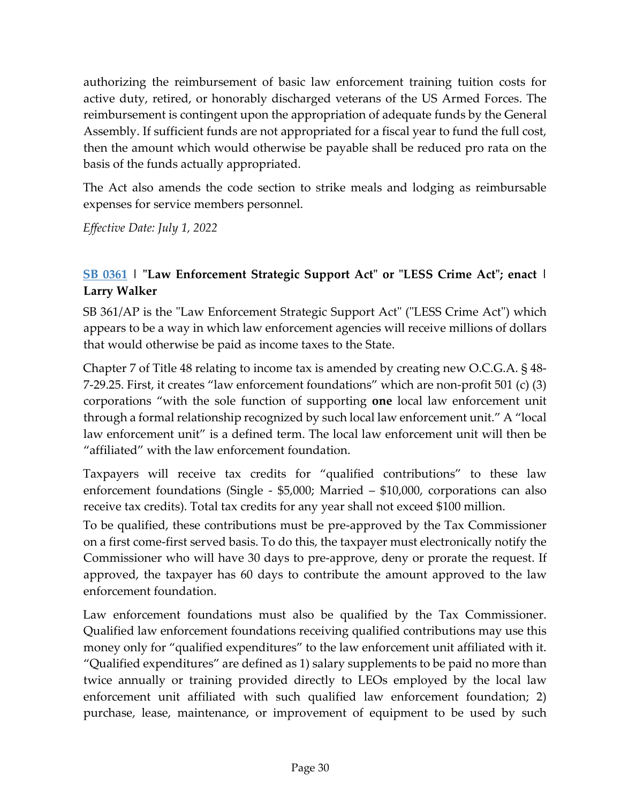authorizing the reimbursement of basic law enforcement training tuition costs for active duty, retired, or honorably discharged veterans of the US Armed Forces. The reimbursement is contingent upon the appropriation of adequate funds by the General Assembly. If sufficient funds are not appropriated for a fiscal year to fund the full cost, then the amount which would otherwise be payable shall be reduced pro rata on the basis of the funds actually appropriated.

The Act also amends the code section to strike meals and lodging as reimbursable expenses for service members personnel.

*Effective Date: July 1, 2022*

### **[SB 0361](https://www.legis.ga.gov/legislation/61292) | "Law Enforcement Strategic Support Act" or "LESS Crime Act"; enact | Larry Walker**

SB 361/AP is the "Law Enforcement Strategic Support Act" ("LESS Crime Act") which appears to be a way in which law enforcement agencies will receive millions of dollars that would otherwise be paid as income taxes to the State.

Chapter 7 of Title 48 relating to income tax is amended by creating new O.C.G.A. § 48- 7-29.25. First, it creates "law enforcement foundations" which are non-profit 501 (c) (3) corporations "with the sole function of supporting **one** local law enforcement unit through a formal relationship recognized by such local law enforcement unit." A "local law enforcement unit" is a defined term. The local law enforcement unit will then be "affiliated" with the law enforcement foundation.

Taxpayers will receive tax credits for "qualified contributions" to these law enforcement foundations (Single - \$5,000; Married – \$10,000, corporations can also receive tax credits). Total tax credits for any year shall not exceed \$100 million.

To be qualified, these contributions must be pre-approved by the Tax Commissioner on a first come-first served basis. To do this, the taxpayer must electronically notify the Commissioner who will have 30 days to pre-approve, deny or prorate the request. If approved, the taxpayer has 60 days to contribute the amount approved to the law enforcement foundation.

Law enforcement foundations must also be qualified by the Tax Commissioner. Qualified law enforcement foundations receiving qualified contributions may use this money only for "qualified expenditures" to the law enforcement unit affiliated with it. "Qualified expenditures" are defined as 1) salary supplements to be paid no more than twice annually or training provided directly to LEOs employed by the local law enforcement unit affiliated with such qualified law enforcement foundation; 2) purchase, lease, maintenance, or improvement of equipment to be used by such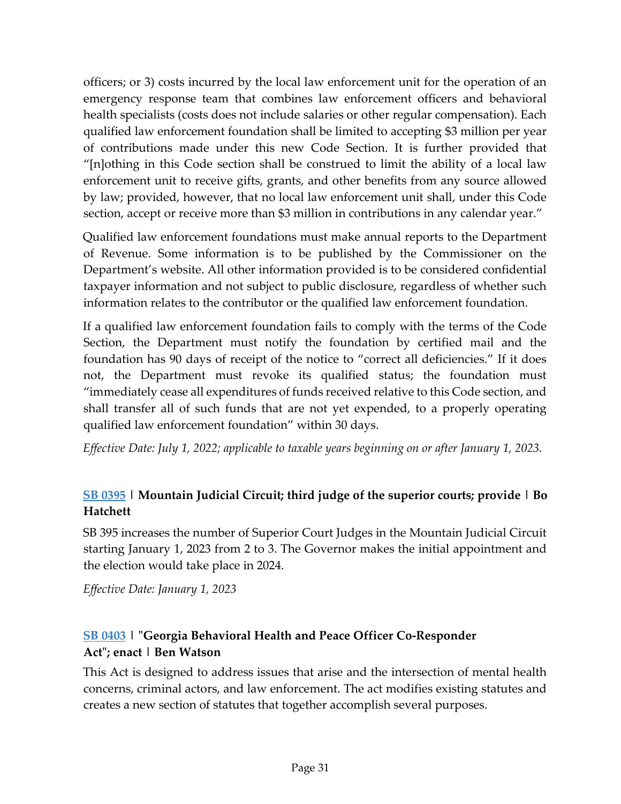officers; or 3) costs incurred by the local law enforcement unit for the operation of an emergency response team that combines law enforcement officers and behavioral health specialists (costs does not include salaries or other regular compensation). Each qualified law enforcement foundation shall be limited to accepting \$3 million per year of contributions made under this new Code Section. It is further provided that "[n]othing in this Code section shall be construed to limit the ability of a local law enforcement unit to receive gifts, grants, and other benefits from any source allowed by law; provided, however, that no local law enforcement unit shall, under this Code section, accept or receive more than \$3 million in contributions in any calendar year."

Qualified law enforcement foundations must make annual reports to the Department of Revenue. Some information is to be published by the Commissioner on the Department's website. All other information provided is to be considered confidential taxpayer information and not subject to public disclosure, regardless of whether such information relates to the contributor or the qualified law enforcement foundation.

If a qualified law enforcement foundation fails to comply with the terms of the Code Section, the Department must notify the foundation by certified mail and the foundation has 90 days of receipt of the notice to "correct all deficiencies." If it does not, the Department must revoke its qualified status; the foundation must "immediately cease all expenditures of funds received relative to this Code section, and shall transfer all of such funds that are not yet expended, to a properly operating qualified law enforcement foundation" within 30 days.

*Effective Date: July 1, 2022; applicable to taxable years beginning on or after January 1, 2023.*

### **[SB 0395](https://www.legis.ga.gov/legislation/61436) | Mountain Judicial Circuit; third judge of the superior courts; provide | Bo Hatchett**

SB 395 increases the number of Superior Court Judges in the Mountain Judicial Circuit starting January 1, 2023 from 2 to 3. The Governor makes the initial appointment and the election would take place in 2024.

*Effective Date: January 1, 2023*

# **[SB 0403](https://www.legis.ga.gov/legislation/61506) [|](https://www.legis.ga.gov/legislation/61506) "Georgia Behavioral Health and Peace Officer Co-Responder Act"; enact | Ben Watson**

This Act is designed to address issues that arise and the intersection of mental health concerns, criminal actors, and law enforcement. The act modifies existing statutes and creates a new section of statutes that together accomplish several purposes.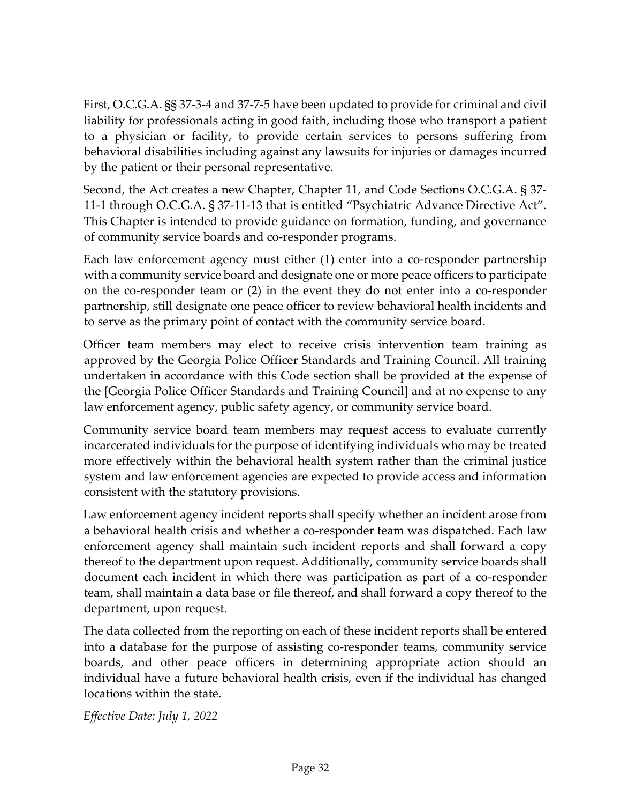First, O.C.G.A. §§ 37-3-4 and 37-7-5 have been updated to provide for criminal and civil liability for professionals acting in good faith, including those who transport a patient to a physician or facility, to provide certain services to persons suffering from behavioral disabilities including against any lawsuits for injuries or damages incurred by the patient or their personal representative.

Second, the Act creates a new Chapter, Chapter 11, and Code Sections O.C.G.A. § 37- 11-1 through O.C.G.A. § 37-11-13 that is entitled "Psychiatric Advance Directive Act". This Chapter is intended to provide guidance on formation, funding, and governance of community service boards and co-responder programs.

Each law enforcement agency must either (1) enter into a co-responder partnership with a community service board and designate one or more peace officers to participate on the co-responder team or (2) in the event they do not enter into a co-responder partnership, still designate one peace officer to review behavioral health incidents and to serve as the primary point of contact with the community service board.

Officer team members may elect to receive crisis intervention team training as approved by the Georgia Police Officer Standards and Training Council. All training undertaken in accordance with this Code section shall be provided at the expense of the [Georgia Police Officer Standards and Training Council] and at no expense to any law enforcement agency, public safety agency, or community service board.

Community service board team members may request access to evaluate currently incarcerated individuals for the purpose of identifying individuals who may be treated more effectively within the behavioral health system rather than the criminal justice system and law enforcement agencies are expected to provide access and information consistent with the statutory provisions.

Law enforcement agency incident reports shall specify whether an incident arose from a behavioral health crisis and whether a co-responder team was dispatched. Each law enforcement agency shall maintain such incident reports and shall forward a copy thereof to the department upon request. Additionally, community service boards shall document each incident in which there was participation as part of a co-responder team, shall maintain a data base or file thereof, and shall forward a copy thereof to the department, upon request.

The data collected from the reporting on each of these incident reports shall be entered into a database for the purpose of assisting co-responder teams, community service boards, and other peace officers in determining appropriate action should an individual have a future behavioral health crisis, even if the individual has changed locations within the state.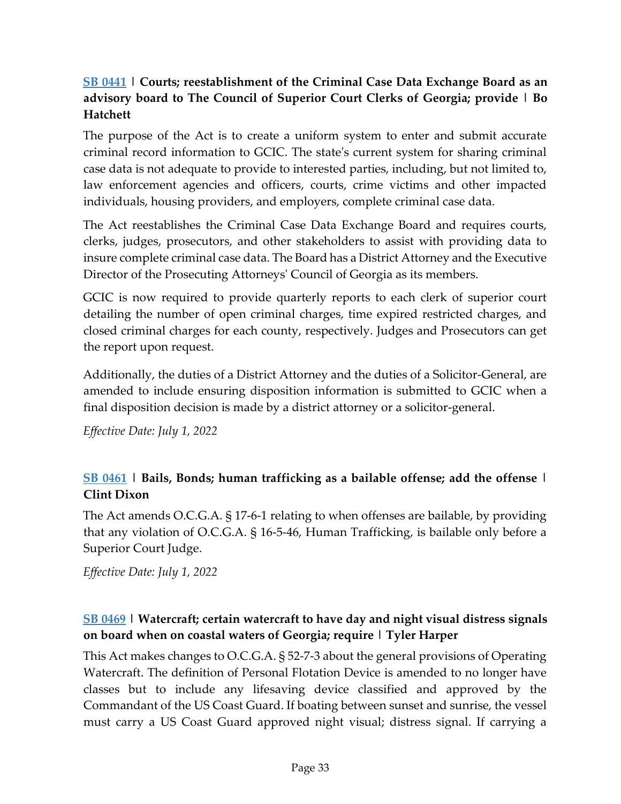# **[SB 0441](https://www.legis.ga.gov/legislation/61690) | Courts; reestablishment of the Criminal Case Data Exchange Board as an advisory board to The Council of Superior Court Clerks of Georgia; provide | Bo Hatchett**

The purpose of the Act is to create a uniform system to enter and submit accurate criminal record information to GCIC. The state's current system for sharing criminal case data is not adequate to provide to interested parties, including, but not limited to, law enforcement agencies and officers, courts, crime victims and other impacted individuals, housing providers, and employers, complete criminal case data.

The Act reestablishes the Criminal Case Data Exchange Board and requires courts, clerks, judges, prosecutors, and other stakeholders to assist with providing data to insure complete criminal case data. The Board has a District Attorney and the Executive Director of the Prosecuting Attorneys' Council of Georgia as its members.

GCIC is now required to provide quarterly reports to each clerk of superior court detailing the number of open criminal charges, time expired restricted charges, and closed criminal charges for each county, respectively. Judges and Prosecutors can get the report upon request.

Additionally, the duties of a District Attorney and the duties of a Solicitor-General, are amended to include ensuring disposition information is submitted to GCIC when a final disposition decision is made by a district attorney or a solicitor-general.

*Effective Date: July 1, 2022*

# **[SB 0461](https://www.legis.ga.gov/legislation/61748) [|](https://www.legis.ga.gov/legislation/61748) Bails, Bonds; human trafficking as a bailable offense; add the offense | Clint Dixon**

The Act amends O.C.G.A. § 17-6-1 relating to when offenses are bailable, by providing that any violation of O.C.G.A. § 16-5-46, Human Trafficking, is bailable only before a Superior Court Judge.

*Effective Date: July 1, 2022*

### **[SB 0469](https://www.legis.ga.gov/legislation/61881) | Watercraft; certain watercraft to have day and night visual distress signals on board when on coastal waters of Georgia; require | Tyler Harper**

This Act makes changes to O.C.G.A. § 52-7-3 about the general provisions of Operating Watercraft. The definition of Personal Flotation Device is amended to no longer have classes but to include any lifesaving device classified and approved by the Commandant of the US Coast Guard. If boating between sunset and sunrise, the vessel must carry a US Coast Guard approved night visual; distress signal. If carrying a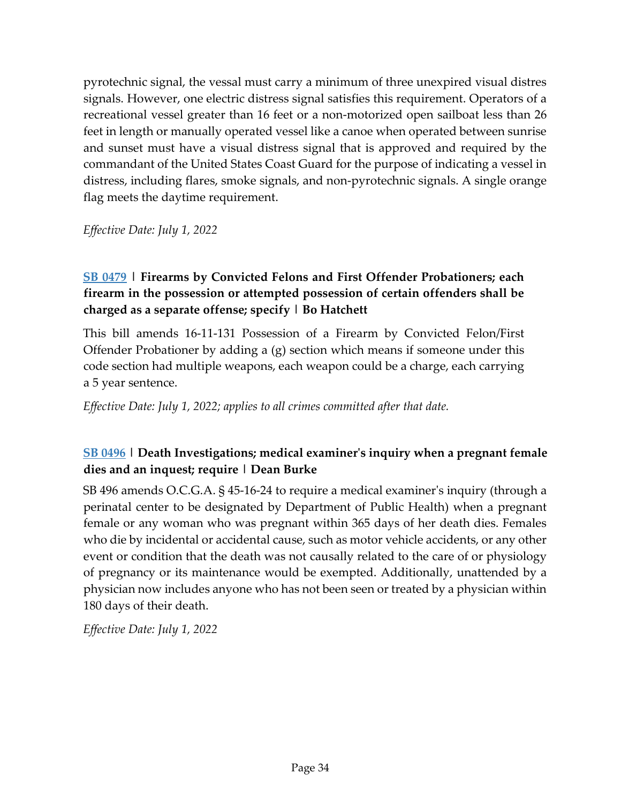pyrotechnic signal, the vessal must carry a minimum of three unexpired visual distres signals. However, one electric distress signal satisfies this requirement. Operators of a recreational vessel greater than 16 feet or a non-motorized open sailboat less than 26 feet in length or manually operated vessel like a canoe when operated between sunrise and sunset must have a visual distress signal that is approved and required by the commandant of the United States Coast Guard for the purpose of indicating a vessel in distress, including flares, smoke signals, and non-pyrotechnic signals. A single orange flag meets the daytime requirement.

*Effective Date: July 1, 2022*

# **[SB 0479](https://www.legis.ga.gov/legislation/61936) [|](https://www.legis.ga.gov/legislation/61936) Firearms by Convicted Felons and First Offender Probationers; each firearm in the possession or attempted possession of certain offenders shall be charged as a separate offense; specify | Bo Hatchett**

This bill amends 16-11-131 Possession of a Firearm by Convicted Felon/First Offender Probationer by adding a (g) section which means if someone under this code section had multiple weapons, each weapon could be a charge, each carrying a 5 year sentence.

*Effective Date: July 1, 2022; applies to all crimes committed after that date.*

# **[SB 0496](https://www.legis.ga.gov/legislation/62024) [|](https://www.legis.ga.gov/legislation/62024) Death Investigations; medical examiner's inquiry when a pregnant female dies and an inquest; require | Dean Burke**

SB 496 amends O.C.G.A. § 45-16-24 to require a medical examiner's inquiry (through a perinatal center to be designated by Department of Public Health) when a pregnant female or any woman who was pregnant within 365 days of her death dies. Females who die by incidental or accidental cause, such as motor vehicle accidents, or any other event or condition that the death was not causally related to the care of or physiology of pregnancy or its maintenance would be exempted. Additionally, unattended by a physician now includes anyone who has not been seen or treated by a physician within 180 days of their death.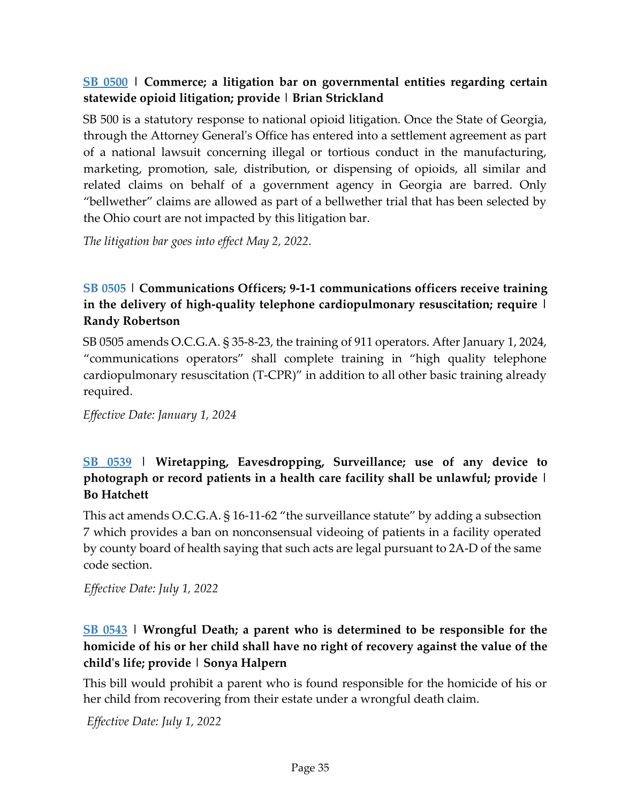### **[SB 0500](https://www.legis.ga.gov/legislation/62029) | Commerce; a litigation bar on governmental entities regarding certain statewide opioid litigation; provide | Brian Strickland**

SB 500 is a statutory response to national opioid litigation. Once the State of Georgia, through the Attorney General's Office has entered into a settlement agreement as part of a national lawsuit concerning illegal or tortious conduct in the manufacturing, marketing, promotion, sale, distribution, or dispensing of opioids, all similar and related claims on behalf of a government agency in Georgia are barred. Only "bellwether" claims are allowed as part of a bellwether trial that has been selected by the Ohio court are not impacted by this litigation bar.

*The litigation bar goes into effect May 2, 2022.*

### **[SB 0505](https://www.legis.ga.gov/legislation/62052) | Communications Officers; 9-1-1 communications officers receive training in the delivery of high-quality telephone cardiopulmonary resuscitation; require | Randy Robertson**

SB 0505 amends O.C.G.A. § 35-8-23, the training of 911 operators. After January 1, 2024, "communications operators" shall complete training in "high quality telephone cardiopulmonary resuscitation (T-CPR)" in addition to all other basic training already required.

*Effective Date: January 1, 2024*

### **[SB 0539](https://www.legis.ga.gov/legislation/62246) [|](https://www.legis.ga.gov/legislation/62246) Wiretapping, Eavesdropping, Surveillance; use of any device to photograph or record patients in a health care facility shall be unlawful; provide | Bo Hatchett**

This act amends O.C.G.A. § 16-11-62 "the surveillance statute" by adding a subsection 7 which provides a ban on nonconsensual videoing of patients in a facility operated by county board of health saying that such acts are legal pursuant to 2A-D of the same code section.

*Effective Date: July 1, 2022*

#### **[SB 0543](https://www.legis.ga.gov/legislation/62298) | Wrongful Death; a parent who is determined to be responsible for the homicide of his or her child shall have no right of recovery against the value of the child's life; provide | Sonya Halpern**

This bill would prohibit a parent who is found responsible for the homicide of his or her child from recovering from their estate under a wrongful death claim.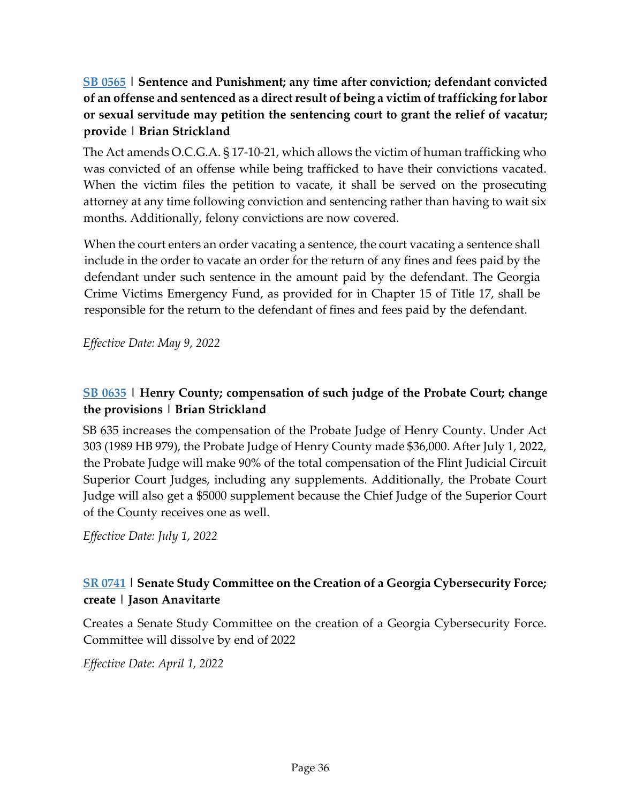**[SB 0565](https://www.legis.ga.gov/legislation/62411) [|](https://www.legis.ga.gov/legislation/62411) Sentence and Punishment; any time after conviction; defendant convicted of an offense and sentenced as a direct result of being a victim of trafficking for labor or sexual servitude may petition the sentencing court to grant the relief of vacatur; provide | Brian Strickland**

The Act amends O.C.G.A. § 17-10-21, which allows the victim of human trafficking who was convicted of an offense while being trafficked to have their convictions vacated. When the victim files the petition to vacate, it shall be served on the prosecuting attorney at any time following conviction and sentencing rather than having to wait six months. Additionally, felony convictions are now covered.

When the court enters an order vacating a sentence, the court vacating a sentence shall include in the order to vacate an order for the return of any fines and fees paid by the defendant under such sentence in the amount paid by the defendant. The Georgia Crime Victims Emergency Fund, as provided for in Chapter 15 of Title 17, shall be responsible for the return to the defendant of fines and fees paid by the defendant.

*Effective Date: May 9, 2022*

### **[SB 0635](https://www.legis.ga.gov/legislation/63001) | Henry County; compensation of such judge of the Probate Court; change the provisions | Brian Strickland**

SB 635 increases the compensation of the Probate Judge of Henry County. Under Act 303 (1989 HB 979), the Probate Judge of Henry County made \$36,000. After July 1, 2022, the Probate Judge will make 90% of the total compensation of the Flint Judicial Circuit Superior Court Judges, including any supplements. Additionally, the Probate Court Judge will also get a \$5000 supplement because the Chief Judge of the Superior Court of the County receives one as well.

*Effective Date: July 1, 2022*

# **[SR 0741](https://www.legis.ga.gov/legislation/62908) [|](https://www.legis.ga.gov/legislation/62908) Senate Study Committee on the Creation of a Georgia Cybersecurity Force; create | Jason Anavitarte**

Creates a Senate Study Committee on the creation of a Georgia Cybersecurity Force. Committee will dissolve by end of 2022

*Effective Date: April 1, 2022*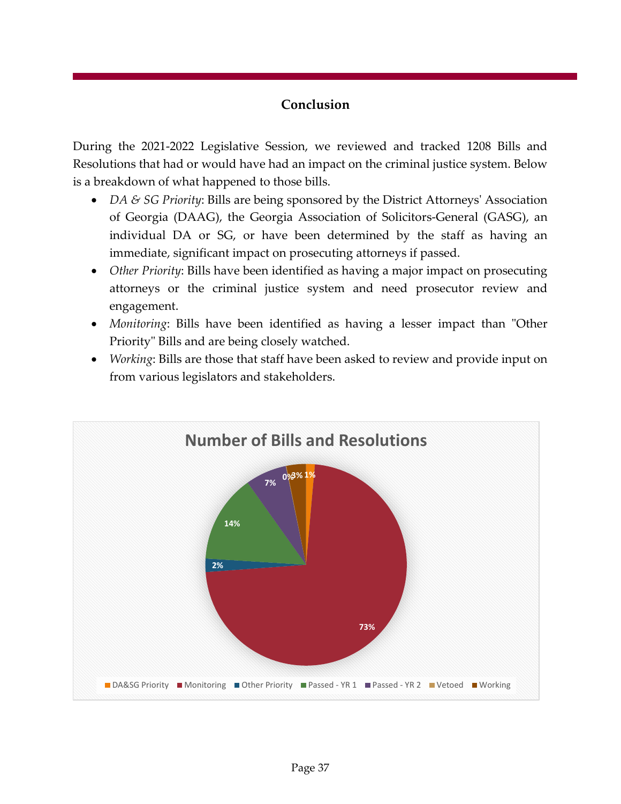# **Conclusion**

During the 2021-2022 Legislative Session, we reviewed and tracked 1208 Bills and Resolutions that had or would have had an impact on the criminal justice system. Below is a breakdown of what happened to those bills.

- *DA & SG Priority*: Bills are being sponsored by the District Attorneys' Association of Georgia (DAAG), the Georgia Association of Solicitors-General (GASG), an individual DA or SG, or have been determined by the staff as having an immediate, significant impact on prosecuting attorneys if passed.
- *Other Priority*: Bills have been identified as having a major impact on prosecuting attorneys or the criminal justice system and need prosecutor review and engagement.
- *Monitoring*: Bills have been identified as having a lesser impact than "Other Priority" Bills and are being closely watched.
- *Working*: Bills are those that staff have been asked to review and provide input on from various legislators and stakeholders.

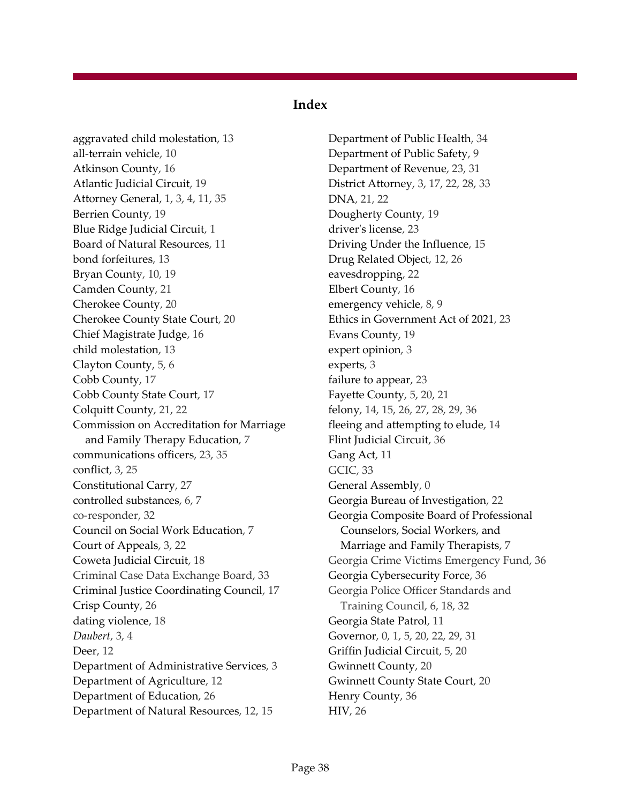#### **Index**

aggravated child molestation, 13 all-terrain vehicle, 10 Atkinson County, 16 Atlantic Judicial Circuit, 19 Attorney General, 1, 3, 4, 11, 35 Berrien County, 19 Blue Ridge Judicial Circuit, 1 Board of Natural Resources, 11 bond forfeitures, 13 Bryan County, 10, 19 Camden County, 21 Cherokee County, 20 Cherokee County State Court, 20 Chief Magistrate Judge, 16 child molestation, 13 Clayton County, 5, 6 Cobb County, 17 Cobb County State Court, 17 Colquitt County, 21, 22 Commission on Accreditation for Marriage and Family Therapy Education, 7 communications officers, 23, 35 conflict, 3, 25 Constitutional Carry, 27 controlled substances, 6, 7 co-responder, 32 Council on Social Work Education, 7 Court of Appeals, 3, 22 Coweta Judicial Circuit, 18 Criminal Case Data Exchange Board, 33 Criminal Justice Coordinating Council, 17 Crisp County, 26 dating violence, 18 *Daubert*, 3, 4 Deer, 12 Department of Administrative Services, 3 Department of Agriculture, 12 Department of Education, 26 Department of Natural Resources, 12, 15

Department of Public Health, 34 Department of Public Safety, 9 Department of Revenue, 23, 31 District Attorney, 3, 17, 22, 28, 33 DNA, 21, 22 Dougherty County, 19 driver's license, 23 Driving Under the Influence, 15 Drug Related Object, 12, 26 eavesdropping, 22 Elbert County, 16 emergency vehicle, 8, 9 Ethics in Government Act of 2021, 23 Evans County, 19 expert opinion, 3 experts, 3 failure to appear, 23 Fayette County, 5, 20, 21 felony, 14, 15, 26, 27, 28, 29, 36 fleeing and attempting to elude, 14 Flint Judicial Circuit, 36 Gang Act, 11 GCIC, 33 General Assembly, 0 Georgia Bureau of Investigation, 22 Georgia Composite Board of Professional Counselors, Social Workers, and Marriage and Family Therapists, 7 Georgia Crime Victims Emergency Fund, 36 Georgia Cybersecurity Force, 36 Georgia Police Officer Standards and Training Council, 6, 18, 32 Georgia State Patrol, 11 Governor, 0, 1, 5, 20, 22, 29, 31 Griffin Judicial Circuit, 5, 20 Gwinnett County, 20 Gwinnett County State Court, 20 Henry County, 36 HIV, 26